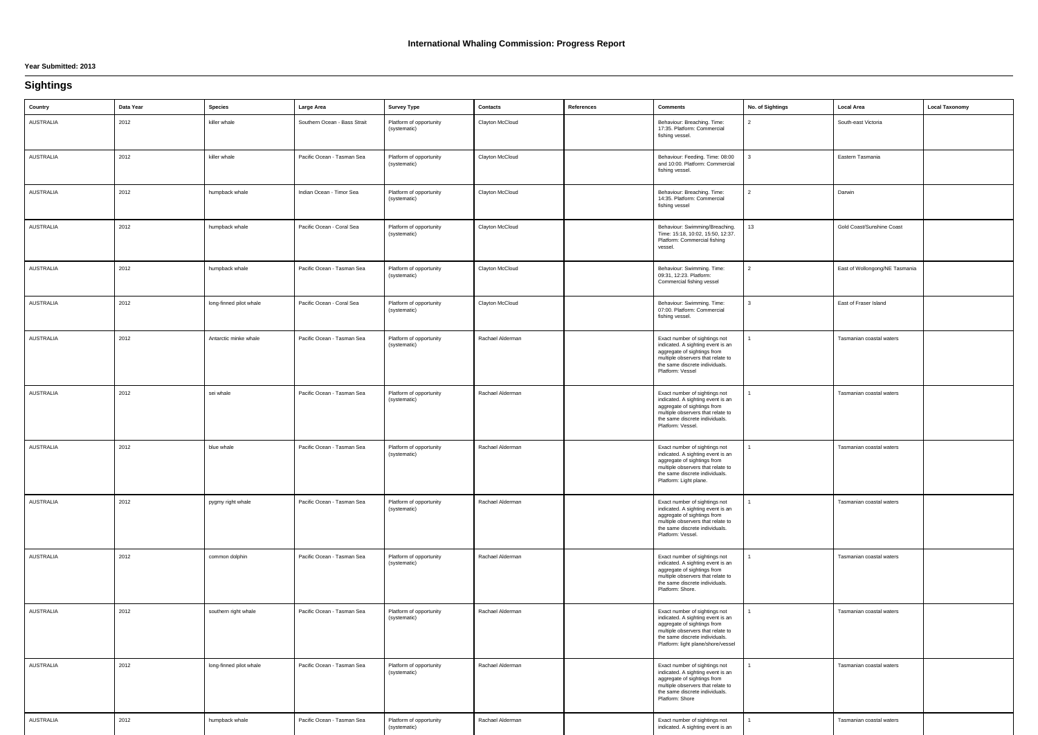#### **Year Submitted: 2013**

### **Sightings**

| Country          | Data Year | <b>Species</b>          | Large Area                   | <b>Survey Type</b>                      | <b>Contacts</b>  | References | <b>Comments</b>                                                                                                                                                                                                | No. of Sightings | Local Area                     | <b>Local Taxonomy</b> |
|------------------|-----------|-------------------------|------------------------------|-----------------------------------------|------------------|------------|----------------------------------------------------------------------------------------------------------------------------------------------------------------------------------------------------------------|------------------|--------------------------------|-----------------------|
| <b>AUSTRALIA</b> | 2012      | killer whale            | Southern Ocean - Bass Strait | Platform of opportunity<br>(systematic) | Clayton McCloud  |            | Behaviour: Breaching. Time:<br>17:35. Platform: Commercial<br>fishing vessel.                                                                                                                                  |                  | South-east Victoria            |                       |
| AUSTRALIA        | 2012      | killer whale            | Pacific Ocean - Tasman Sea   | Platform of opportunity<br>(systematic) | Clayton McCloud  |            | Behaviour: Feeding. Time: 08:00<br>and 10:00. Platform: Commercial<br>fishing vessel.                                                                                                                          |                  | Eastern Tasmania               |                       |
| <b>AUSTRALIA</b> | 2012      | humpback whale          | Indian Ocean - Timor Sea     | Platform of opportunity<br>(systematic) | Clayton McCloud  |            | Behaviour: Breaching. Time:<br>14:35. Platform: Commercial<br>fishing vessel                                                                                                                                   | 2                | Darwin                         |                       |
| <b>AUSTRALIA</b> | 2012      | humpback whale          | Pacific Ocean - Coral Sea    | Platform of opportunity<br>(systematic) | Clayton McCloud  |            | Behaviour: Swimming/Breaching.<br>Time: 15:18, 10:02, 15:50, 12:37.<br>Platform: Commercial fishing<br>vessel.                                                                                                 | 13               | Gold Coast/Sunshine Coast      |                       |
| <b>AUSTRALIA</b> | 2012      | humpback whale          | Pacific Ocean - Tasman Sea   | Platform of opportunity<br>(systematic) | Clayton McCloud  |            | Behaviour: Swimming. Time:<br>09:31, 12:23. Platform:<br>Commercial fishing vessel                                                                                                                             |                  | East of Wollongong/NE Tasmania |                       |
| AUSTRALIA        | 2012      | long-finned pilot whale | Pacific Ocean - Coral Sea    | Platform of opportunity<br>(systematic) | Clayton McCloud  |            | Behaviour: Swimming. Time:<br>07:00. Platform: Commercial<br>fishing vessel.                                                                                                                                   | 3                | East of Fraser Island          |                       |
| <b>AUSTRALIA</b> | 2012      | Antarctic minke whale   | Pacific Ocean - Tasman Sea   | Platform of opportunity<br>(systematic) | Rachael Alderman |            | Exact number of sightings not<br>indicated. A sighting event is an<br>aggregate of sightings from<br>multiple observers that relate to<br>the same discrete individuals.<br>Platform: Vessel                   |                  | Tasmanian coastal waters       |                       |
| AUSTRALIA        | 2012      | sei whale               | Pacific Ocean - Tasman Sea   | Platform of opportunity<br>(systematic) | Rachael Alderman |            | Exact number of sightings not<br>indicated. A sighting event is an<br>aggregate of sightings from<br>multiple observers that relate to<br>the same discrete individuals.<br>Platform: Vessel.                  |                  | Tasmanian coastal waters       |                       |
| <b>AUSTRALIA</b> | 2012      | blue whale              | Pacific Ocean - Tasman Sea   | Platform of opportunity<br>(systematic) | Rachael Alderman |            | Exact number of sightings not<br>indicated. A sighting event is an<br>aggregate of sightings from<br>multiple observers that relate to<br>the same discrete individuals.<br>Platform: Light plane.             |                  | Tasmanian coastal waters       |                       |
| <b>AUSTRALIA</b> | 2012      | pygmy right whale       | Pacific Ocean - Tasman Sea   | Platform of opportunity<br>(systematic) | Rachael Alderman |            | Exact number of sightings not<br>indicated. A sighting event is an<br>aggregate of sightings from<br>multiple observers that relate to<br>the same discrete individuals.<br>Platform: Vessel.                  |                  | Tasmanian coastal waters       |                       |
| <b>AUSTRALIA</b> | 2012      | common dolphin          | Pacific Ocean - Tasman Sea   | Platform of opportunity<br>(systematic) | Rachael Alderman |            | Exact number of sightings not<br>indicated. A sighting event is an<br>aggregate of sightings from<br>multiple observers that relate to<br>the same discrete individuals.<br>Platform: Shore.                   |                  | Tasmanian coastal waters       |                       |
| <b>AUSTRALIA</b> | 2012      | southern right whale    | Pacific Ocean - Tasman Sea   | Platform of opportunity<br>(systematic) | Rachael Alderman |            | Exact number of sightings not<br>indicated. A sighting event is an<br>aggregate of sightings from<br>multiple observers that relate to<br>the same discrete individuals.<br>Platform: light plane/shore/vessel |                  | Tasmanian coastal waters       |                       |
| <b>AUSTRALIA</b> | 2012      | long-finned pilot whale | Pacific Ocean - Tasman Sea   | Platform of opportunity<br>(systematic) | Rachael Alderman |            | Exact number of sightings not<br>indicated. A sighting event is an<br>aggregate of sightings from<br>multiple observers that relate to<br>the same discrete individuals.<br>Platform: Shore                    |                  | Tasmanian coastal waters       |                       |
| <b>AUSTRALIA</b> | 2012      | humpback whale          | Pacific Ocean - Tasman Sea   | Platform of opportunity<br>(systematic) | Rachael Alderman |            | Exact number of sightings not<br>indicated. A sighting event is an                                                                                                                                             |                  | Tasmanian coastal waters       |                       |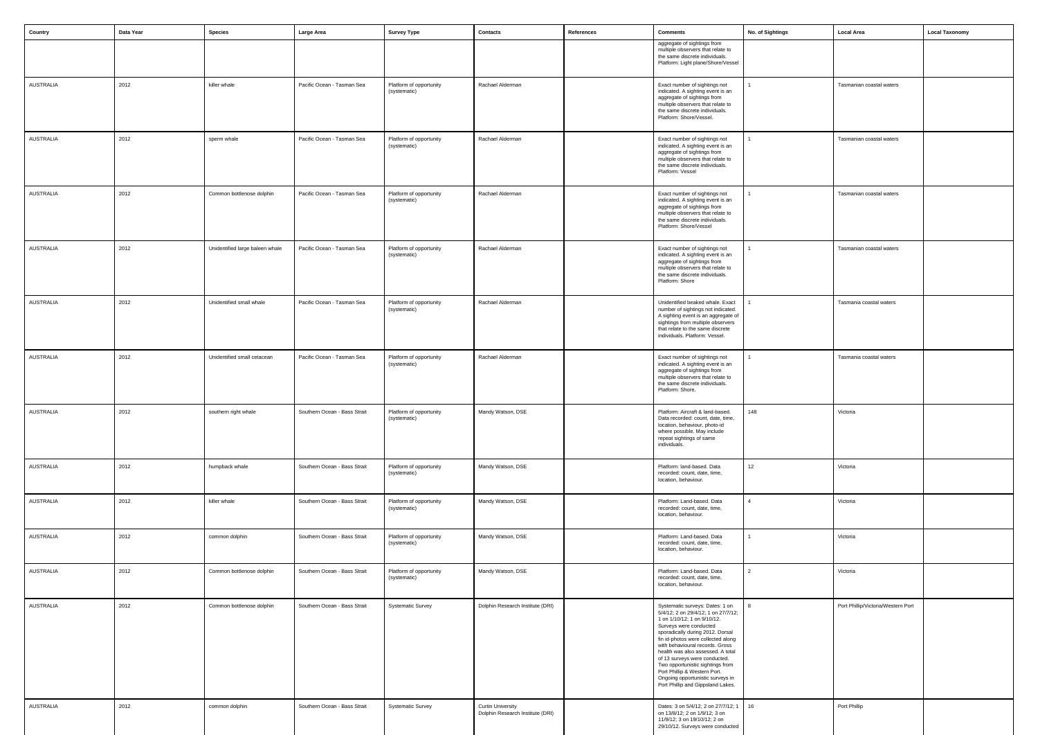| Country          | Data Year | <b>Species</b>                  | Large Area                   | <b>Survey Type</b>                      | Contacts                                                     | References | <b>Comments</b>                                                                                                                                                                                                                                                                                                                                                                                                                                                 | No. of Sightings | <b>Local Area</b>                  | <b>Local Taxonomy</b> |
|------------------|-----------|---------------------------------|------------------------------|-----------------------------------------|--------------------------------------------------------------|------------|-----------------------------------------------------------------------------------------------------------------------------------------------------------------------------------------------------------------------------------------------------------------------------------------------------------------------------------------------------------------------------------------------------------------------------------------------------------------|------------------|------------------------------------|-----------------------|
|                  |           |                                 |                              |                                         |                                                              |            | aggregate of sightings from<br>multiple observers that relate to<br>the same discrete individuals.<br>Platform: Light plane/Shore/Vessel                                                                                                                                                                                                                                                                                                                        |                  |                                    |                       |
| <b>AUSTRALIA</b> | 2012      | killer whale                    | Pacific Ocean - Tasman Sea   | Platform of opportunity<br>(systematic) | Rachael Alderman                                             |            | Exact number of sightings not<br>indicated. A sighting event is an<br>aggregate of sightings from<br>multiple observers that relate to<br>the same discrete individuals.<br>Platform: Shore/Vessel.                                                                                                                                                                                                                                                             |                  | Tasmanian coastal waters           |                       |
| <b>AUSTRALIA</b> | 2012      | sperm whale                     | Pacific Ocean - Tasman Sea   | Platform of opportunity<br>(systematic) | Rachael Alderman                                             |            | Exact number of sightings not<br>indicated. A sighting event is an<br>aggregate of sightings from<br>multiple observers that relate to<br>the same discrete individuals.<br>Platform: Vessel                                                                                                                                                                                                                                                                    |                  | Tasmanian coastal waters           |                       |
| <b>AUSTRALIA</b> | 2012      | Common bottlenose dolphin       | Pacific Ocean - Tasman Sea   | Platform of opportunity<br>(systematic) | Rachael Alderman                                             |            | Exact number of sightings not<br>indicated. A sighting event is an<br>aggregate of sightings from<br>multiple observers that relate to<br>the same discrete individuals.<br>Platform: Shore/Vessel                                                                                                                                                                                                                                                              |                  | Tasmanian coastal waters           |                       |
| <b>AUSTRALIA</b> | 2012      | Unidentified large baleen whale | Pacific Ocean - Tasman Sea   | Platform of opportunity<br>(systematic) | Rachael Alderman                                             |            | Exact number of sightings not<br>indicated. A sighting event is an<br>aggregate of sightings from<br>multiple observers that relate to<br>the same discrete individuals.<br>Platform: Shore                                                                                                                                                                                                                                                                     |                  | Tasmanian coastal waters           |                       |
| <b>AUSTRALIA</b> | 2012      | Unidentified small whale        | Pacific Ocean - Tasman Sea   | Platform of opportunity<br>(systematic) | Rachael Alderman                                             |            | Unidentified beaked whale. Exact<br>number of sightings not indicated.<br>A sighting event is an aggregate of<br>sightings from multiple observers<br>that relate to the same discrete<br>individuals. Platform: Vessel.                                                                                                                                                                                                                                        |                  | Tasmania coastal waters            |                       |
| <b>AUSTRALIA</b> | 2012      | Unidentified small cetacean     | Pacific Ocean - Tasman Sea   | Platform of opportunity<br>(systematic) | Rachael Alderman                                             |            | Exact number of sightings not<br>indicated. A sighting event is an<br>aggregate of sightings from<br>multiple observers that relate to<br>the same discrete individuals.<br>Platform: Shore.                                                                                                                                                                                                                                                                    |                  | Tasmania coastal waters            |                       |
| AUSTRALIA        | 2012      | southern right whale            | Southern Ocean - Bass Strait | Platform of opportunity<br>(systematic) | Mandy Watson, DSE                                            |            | Platform: Aircraft & land-based.<br>Data recorded: count, date, time,<br>location, behaviour, photo-id<br>where possible. May include<br>repeat sightings of same<br>individuals.                                                                                                                                                                                                                                                                               | 148              | Victoria                           |                       |
| AUSTRALIA        | 2012      | humpback whale                  | Southern Ocean - Bass Strait | Platform of opportunity<br>(systematic) | Mandy Watson, DSE                                            |            | Platform: land-based. Data<br>recorded: count, date, time,<br>location, behaviour.                                                                                                                                                                                                                                                                                                                                                                              | 12               | Victoria                           |                       |
| AUSTRALIA        | 2012      | killer whale                    | Southern Ocean - Bass Strait | Platform of opportunity<br>(systematic) | Mandy Watson, DSE                                            |            | Platform: Land-based. Data<br>recorded: count, date, time,<br>location, behaviour.                                                                                                                                                                                                                                                                                                                                                                              | 4                | Victoria                           |                       |
| AUSTRALIA        | 2012      | common dolphin                  | Southern Ocean - Bass Strait | Platform of opportunity<br>(systematic) | Mandy Watson, DSE                                            |            | Platform: Land-based. Data<br>recorded: count, date, time,<br>location, behaviour.                                                                                                                                                                                                                                                                                                                                                                              |                  | Victoria                           |                       |
| AUSTRALIA        | 2012      | Common bottlenose dolphin       | Southern Ocean - Bass Strait | Platform of opportunity<br>(systematic) | Mandy Watson, DSE                                            |            | Platform: Land-based. Data<br>recorded: count, date, time,<br>location, behaviour.                                                                                                                                                                                                                                                                                                                                                                              | 2                | Victoria                           |                       |
| AUSTRALIA        | 2012      | Common bottlenose dolphin       | Southern Ocean - Bass Strait | <b>Systematic Survey</b>                | Dolphin Research Institute (DRI)                             |            | Systematic surveys: Dates: 1 on<br>5/4/12; 2 on 29/4/12; 1 on 27/7/12;<br>1 on 1/10/12; 1 on 9/10/12.<br>Surveys were conducted<br>sporadically during 2012. Dorsal<br>fin id-photos were collected along<br>with behavioural records. Gross<br>health was also assessed. A total<br>of 13 surveys were conducted.<br>Two opportunistic sightings from<br>Port Phillip & Western Port.<br>Ongoing opportunistic surveys in<br>Port Phillip and Gippsland Lakes. |                  | Port Phillip/Victoria/Western Port |                       |
| AUSTRALIA        | 2012      | common dolphin                  | Southern Ocean - Bass Strait | <b>Systematic Survey</b>                | <b>Curtin University</b><br>Dolphin Research Institute (DRI) |            | Dates: 3 on 5/4/12; 2 on 27/7/12; 1<br>on 13/8/12; 2 on 1/9/12; 3 on<br>11/9/12; 3 on 19/10/12; 2 on<br>29/10/12. Surveys were conducted                                                                                                                                                                                                                                                                                                                        | 16               | Port Phillip                       |                       |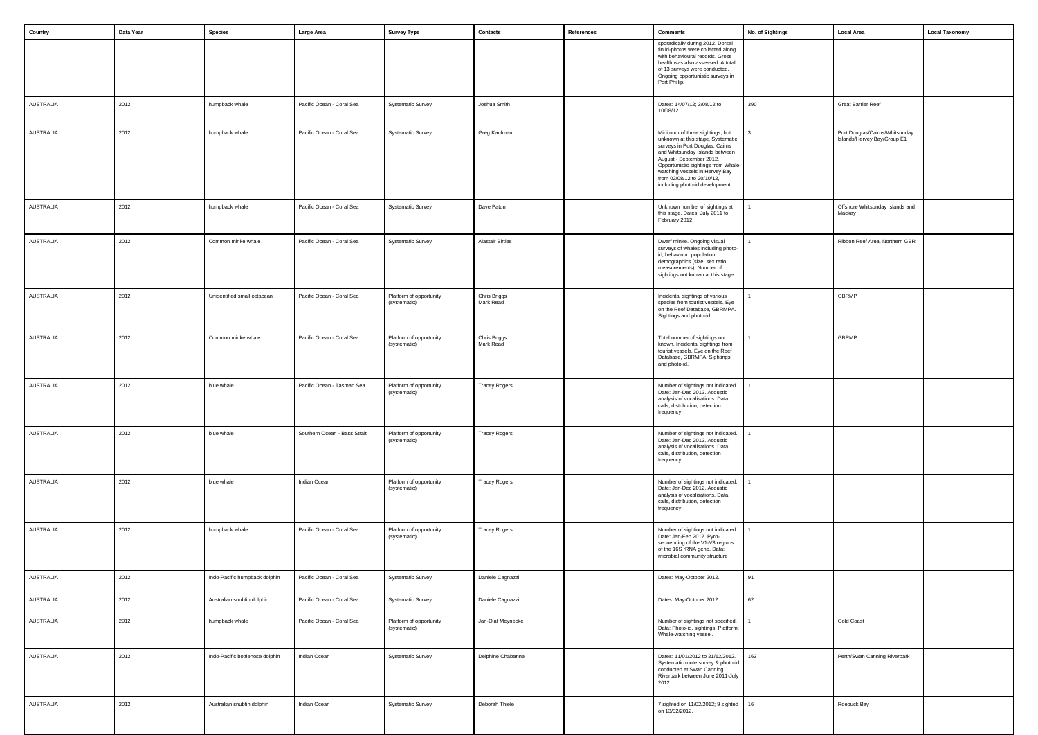| Country          | Data Year | Species                         | Large Area                   | <b>Survey Type</b>                      | Contacts                  | References | <b>Comments</b>                                                                                                                                                                                                                                                                                                 | No. of Sightings | <b>Local Area</b>                                             | <b>Local Taxonomy</b> |
|------------------|-----------|---------------------------------|------------------------------|-----------------------------------------|---------------------------|------------|-----------------------------------------------------------------------------------------------------------------------------------------------------------------------------------------------------------------------------------------------------------------------------------------------------------------|------------------|---------------------------------------------------------------|-----------------------|
|                  |           |                                 |                              |                                         |                           |            | sporadically during 2012. Dorsal<br>fin id-photos were collected along<br>with behavioural records. Gross<br>health was also assessed. A total<br>of 13 surveys were conducted.<br>Ongoing opportunistic surveys in<br>Port Phillip.                                                                            |                  |                                                               |                       |
| <b>AUSTRALIA</b> | 2012      | humpback whale                  | Pacific Ocean - Coral Sea    | <b>Systematic Survey</b>                | Joshua Smith              |            | Dates: 14/07/12; 3/08/12 to<br>10/08/12.                                                                                                                                                                                                                                                                        | 390              | <b>Great Barrier Reef</b>                                     |                       |
| AUSTRALIA        | 2012      | humpback whale                  | Pacific Ocean - Coral Sea    | <b>Systematic Survey</b>                | Greg Kaufman              |            | Minimum of three sightings, but<br>unknown at this stage. Systematic<br>surveys in Port Douglas, Cairns<br>and Whitsunday Islands between<br>August - September 2012.<br>Opportunistic sightings from Whale-<br>watching vessels in Hervey Bay<br>from 02/08/12 to 20/10/12,<br>including photo-id development. | $\mathbf{r}$     | Port Douglas/Cairns/Whitsunday<br>Islands/Hervey Bay/Group E1 |                       |
| <b>AUSTRALIA</b> | 2012      | humpback whale                  | Pacific Ocean - Coral Sea    | <b>Systematic Survey</b>                | Dave Paton                |            | Unknown number of sightings at<br>this stage. Dates: July 2011 to<br>February 2012.                                                                                                                                                                                                                             |                  | Offshore Whitsunday Islands and<br>Mackay                     |                       |
| AUSTRALIA        | 2012      | Common minke whale              | Pacific Ocean - Coral Sea    | <b>Systematic Survey</b>                | <b>Alastair Birtles</b>   |            | Dwarf minke. Ongoing visual<br>surveys of whales including photo-<br>id, behaviour, population<br>demographics (size, sex ratio,<br>measurements). Number of<br>sightings not known at this stage.                                                                                                              |                  | Ribbon Reef Area, Northern GBR                                |                       |
| AUSTRALIA        | 2012      | Unidentified small cetacean     | Pacific Ocean - Coral Sea    | Platform of opportunity<br>(systematic) | Chris Briggs<br>Mark Read |            | Incidental sightings of various<br>species from tourist vessels. Eye<br>on the Reef Database, GBRMPA.<br>Sightings and photo-id.                                                                                                                                                                                |                  | GBRMP                                                         |                       |
| AUSTRALIA        | 2012      | Common minke whale              | Pacific Ocean - Coral Sea    | Platform of opportunity<br>(systematic) | Chris Briggs<br>Mark Read |            | Total number of sightings not<br>known. Incidental sightings from<br>tourist vessels. Eye on the Reef<br>Database, GBRMPA. Sightings<br>and photo-id.                                                                                                                                                           |                  | GBRMP                                                         |                       |
| AUSTRALIA        | 2012      | blue whale                      | Pacific Ocean - Tasman Sea   | Platform of opportunity<br>(systematic) | <b>Tracey Rogers</b>      |            | Number of sightings not indicated.<br>Date: Jan-Dec 2012. Acoustic<br>analysis of vocalisations. Data:<br>calls, distribution, detection<br>rrequency.                                                                                                                                                          |                  |                                                               |                       |
| AUSTRALIA        | 2012      | blue whale                      | Southern Ocean - Bass Strait | Platform of opportunity<br>(systematic) | <b>Tracey Rogers</b>      |            | Number of sightings not indicated.<br>Date: Jan-Dec 2012. Acoustic<br>analysis of vocalisations. Data:<br>calls, distribution, detection<br>frequency.                                                                                                                                                          |                  |                                                               |                       |
| AUSTRALIA        | 2012      | blue whale                      | Indian Ocean                 | Platform of opportunity<br>(systematic) | <b>Tracey Rogers</b>      |            | Number of sightings not indicated.<br>Date: Jan-Dec 2012. Acoustic<br>analysis of vocalisations. Data:<br>calls, distribution, detection<br>frequency.                                                                                                                                                          |                  |                                                               |                       |
| AUSTRALIA        | 2012      | humpback whale                  | Pacific Ocean - Coral Sea    | Platform of opportunity<br>(systematic) | <b>Tracey Rogers</b>      |            | Number of sightings not indicated.<br>Date: Jan-Feb 2012. Pyro-<br>sequencing of the V1-V3 regions<br>of the 16S rRNA gene. Data:<br>microbial community structure                                                                                                                                              |                  |                                                               |                       |
| AUSTRALIA        | 2012      | Indo-Pacific humpback dolphin   | Pacific Ocean - Coral Sea    | <b>Systematic Survey</b>                | Daniele Cagnazzi          |            | Dates: May-October 2012.                                                                                                                                                                                                                                                                                        | 91               |                                                               |                       |
| AUSTRALIA        | 2012      | Australian snubfin dolphin      | Pacific Ocean - Coral Sea    | <b>Systematic Survey</b>                | Daniele Cagnazzi          |            | Dates: May-October 2012.                                                                                                                                                                                                                                                                                        | 62               |                                                               |                       |
| AUSTRALIA        | 2012      | humpback whale                  | Pacific Ocean - Coral Sea    | Platform of opportunity<br>(systematic) | Jan-Olaf Meynecke         |            | Number of sightings not specified.<br>Data: Photo-id, sightings. Platform:<br>Whale-watching vessel.                                                                                                                                                                                                            |                  | <b>Gold Coast</b>                                             |                       |
| AUSTRALIA        | 2012      | Indo-Pacific bottlenose dolphin | Indian Ocean                 | <b>Systematic Survey</b>                | Delphine Chabanne         |            | Dates: 11/01/2012 to 21/12/2012.<br>Systematic route survey & photo-id<br>conducted at Swan Canning<br>Riverpark between June 2011-July<br>2012.                                                                                                                                                                | 163              | Perth/Swan Canning Riverpark                                  |                       |
| AUSTRALIA        | 2012      | Australian snubfin dolphin      | Indian Ocean                 | <b>Systematic Survey</b>                | Deborah Thiele            |            | 7 sighted on 11/02/2012; 9 sighted<br>on 13/02/2012.                                                                                                                                                                                                                                                            | 16               | Roebuck Bay                                                   |                       |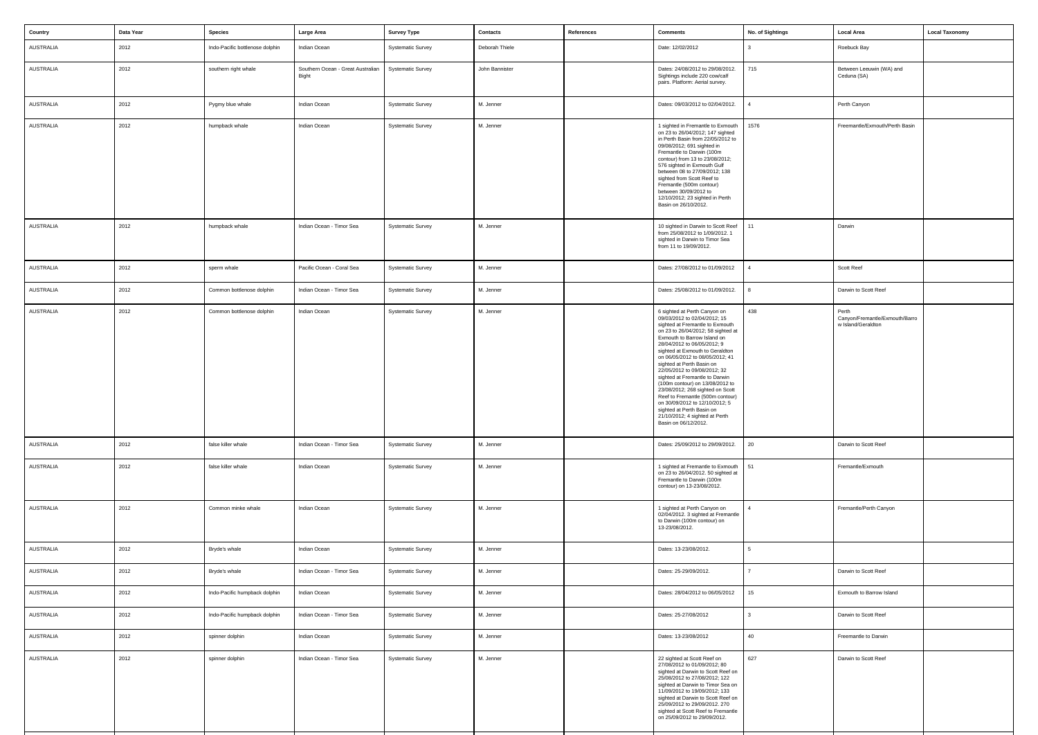| Country   | Data Year | <b>Species</b>                  | Large Area                                 | <b>Survey Type</b>       | <b>Contacts</b> | References | <b>Comments</b>                                                                                                                                                                                                                                                                                                                                                                                                                                                                                                                                                                                              | No. of Sightings | <b>Local Area</b>                                             | <b>Local Taxonomy</b> |
|-----------|-----------|---------------------------------|--------------------------------------------|--------------------------|-----------------|------------|--------------------------------------------------------------------------------------------------------------------------------------------------------------------------------------------------------------------------------------------------------------------------------------------------------------------------------------------------------------------------------------------------------------------------------------------------------------------------------------------------------------------------------------------------------------------------------------------------------------|------------------|---------------------------------------------------------------|-----------------------|
| AUSTRALIA | 2012      | Indo-Pacific bottlenose dolphin | Indian Ocean                               | <b>Systematic Survey</b> | Deborah Thiele  |            | Date: 12/02/2012                                                                                                                                                                                                                                                                                                                                                                                                                                                                                                                                                                                             |                  | Roebuck Bay                                                   |                       |
| AUSTRALIA | 2012      | southern right whale            | Southern Ocean - Great Australian<br>Bight | <b>Systematic Survey</b> | John Bannister  |            | Dates: 24/08/2012 to 29/08/2012.<br>Sightings include 220 cow/calf<br>pairs. Platform: Aerial survey.                                                                                                                                                                                                                                                                                                                                                                                                                                                                                                        | 715              | Between Leeuwin (WA) and<br>Ceduna (SA)                       |                       |
| AUSTRALIA | 2012      | Pygmy blue whale                | Indian Ocean                               | <b>Systematic Survey</b> | M. Jenner       |            | Dates: 09/03/2012 to 02/04/2012.                                                                                                                                                                                                                                                                                                                                                                                                                                                                                                                                                                             |                  | Perth Canyon                                                  |                       |
| AUSTRALIA | 2012      | humpback whale                  | Indian Ocean                               | <b>Systematic Survey</b> | M. Jenner       |            | 1 sighted in Fremantle to Exmouth<br>on 23 to 26/04/2012; 147 sighted<br>in Perth Basin from 22/05/2012 to<br>09/08/2012; 691 sighted in<br>Fremantle to Darwin (100m<br>contour) from 13 to 23/08/2012;<br>576 sighted in Exmouth Gulf<br>between 08 to 27/09/2012; 138<br>sighted from Scott Reef to<br>Fremantle (500m contour)<br>between 30/09/2012 to<br>12/10/2012; 23 sighted in Perth<br>Basin on 26/10/2012.                                                                                                                                                                                       | 1576             | Freemantle/Exmouth/Perth Basin                                |                       |
| AUSTRALIA | 2012      | humpback whale                  | Indian Ocean - Timor Sea                   | <b>Systematic Survey</b> | M. Jenner       |            | 10 sighted in Darwin to Scott Reef<br>from 25/08/2012 to 1/09/2012. 1<br>sighted in Darwin to Timor Sea<br>from 11 to 19/09/2012.                                                                                                                                                                                                                                                                                                                                                                                                                                                                            | 11               | Darwin                                                        |                       |
| AUSTRALIA | 2012      | sperm whale                     | Pacific Ocean - Coral Sea                  | <b>Systematic Survey</b> | M. Jenner       |            | Dates: 27/08/2012 to 01/09/2012                                                                                                                                                                                                                                                                                                                                                                                                                                                                                                                                                                              |                  | Scott Reef                                                    |                       |
| AUSTRALIA | 2012      | Common bottlenose dolphin       | Indian Ocean - Timor Sea                   | <b>Systematic Survey</b> | M. Jenner       |            | Dates: 25/08/2012 to 01/09/2012.                                                                                                                                                                                                                                                                                                                                                                                                                                                                                                                                                                             |                  | Darwin to Scott Reef                                          |                       |
| AUSTRALIA | 2012      | Common bottlenose dolphin       | Indian Ocean                               | <b>Systematic Survey</b> | M. Jenner       |            | 6 sighted at Perth Canyon on<br>09/03/2012 to 02/04/2012; 15<br>sighted at Fremantle to Exmouth<br>on 23 to 26/04/2012; 58 sighted at<br>Exmouth to Barrow Island on<br>28/04/2012 to 06/05/2012; 9<br>sighted at Exmouth to Geraldton<br>on 06/05/2012 to 08/05/2012; 41<br>sighted at Perth Basin on<br>22/05/2012 to 09/08/2012; 32<br>sighted at Fremantle to Darwin<br>(100m contour) on 13/08/2012 to<br>23/08/2012; 268 sighted on Scott<br>Reef to Fremantle (500m contour)<br>on 30/09/2012 to 12/10/2012; 5<br>sighted at Perth Basin on<br>21/10/2012; 4 sighted at Perth<br>Basin on 06/12/2012. | 438              | Perth<br>Canyon/Fremantle/Exmouth/Barro<br>w Island/Geraldton |                       |
| AUSTRALIA | 2012      | false killer whale              | Indian Ocean - Timor Sea                   | <b>Systematic Survey</b> | M. Jenner       |            | Dates: 25/09/2012 to 29/09/2012.                                                                                                                                                                                                                                                                                                                                                                                                                                                                                                                                                                             | 20               | Darwin to Scott Reef                                          |                       |
| AUSTRALIA | 2012      | false killer whale              | Indian Ocean                               | <b>Systematic Survey</b> | M. Jenner       |            | 1 sighted at Fremantle to Exmouth<br>on 23 to 26/04/2012. 50 sighted at<br>Fremantle to Darwin (100m<br>contour) on 13-23/08/2012.                                                                                                                                                                                                                                                                                                                                                                                                                                                                           | 51               | Fremantle/Exmouth                                             |                       |
| AUSTRALIA | 2012      | Common minke whale              | Indian Ocean                               | <b>Systematic Survey</b> | M. Jenner       |            | 1 sighted at Perth Canyon on<br>02/04/2012. 3 sighted at Fremantle<br>to Darwin (100m contour) on<br>13-23/08/2012.                                                                                                                                                                                                                                                                                                                                                                                                                                                                                          |                  | Fremantle/Perth Canyon                                        |                       |
| AUSTRALIA | 2012      | Bryde's whale                   | Indian Ocean                               | <b>Systematic Survey</b> | M. Jenner       |            | Dates: 13-23/08/2012.                                                                                                                                                                                                                                                                                                                                                                                                                                                                                                                                                                                        | $5^{\circ}$      |                                                               |                       |
| AUSTRALIA | 2012      | Bryde's whale                   | Indian Ocean - Timor Sea                   | <b>Systematic Survey</b> | M. Jenner       |            | Dates: 25-29/09/2012.                                                                                                                                                                                                                                                                                                                                                                                                                                                                                                                                                                                        |                  | Darwin to Scott Reef                                          |                       |
| AUSTRALIA | 2012      | Indo-Pacific humpback dolphin   | Indian Ocean                               | <b>Systematic Survey</b> | M. Jenner       |            | Dates: 28/04/2012 to 06/05/2012                                                                                                                                                                                                                                                                                                                                                                                                                                                                                                                                                                              | 15               | Exmouth to Barrow Island                                      |                       |
| AUSTRALIA | 2012      | Indo-Pacific humpback dolphin   | Indian Ocean - Timor Sea                   | <b>Systematic Survey</b> | M. Jenner       |            | Dates: 25-27/08/2012                                                                                                                                                                                                                                                                                                                                                                                                                                                                                                                                                                                         |                  | Darwin to Scott Reef                                          |                       |
| AUSTRALIA | 2012      | spinner dolphin                 | Indian Ocean                               | <b>Systematic Survey</b> | M. Jenner       |            | Dates: 13-23/08/2012                                                                                                                                                                                                                                                                                                                                                                                                                                                                                                                                                                                         | 40               | Freemantle to Darwin                                          |                       |
| AUSTRALIA | 2012      | spinner dolphin                 | Indian Ocean - Timor Sea                   | <b>Systematic Survey</b> | M. Jenner       |            | 22 sighted at Scott Reef on<br>27/08/2012 to 01/09/2012; 80<br>sighted at Darwin to Scott Reef on<br>25/08/2012 to 27/08/2012; 122<br>sighted at Darwin to Timor Sea on<br>11/09/2012 to 19/09/2012; 133<br>sighted at Darwin to Scott Reef on<br>25/09/2012 to 29/09/2012. 270<br>sighted at Scott Reef to Fremantle<br>on 25/09/2012 to 29/09/2012.                                                                                                                                                                                                                                                        | 627              | Darwin to Scott Reef                                          |                       |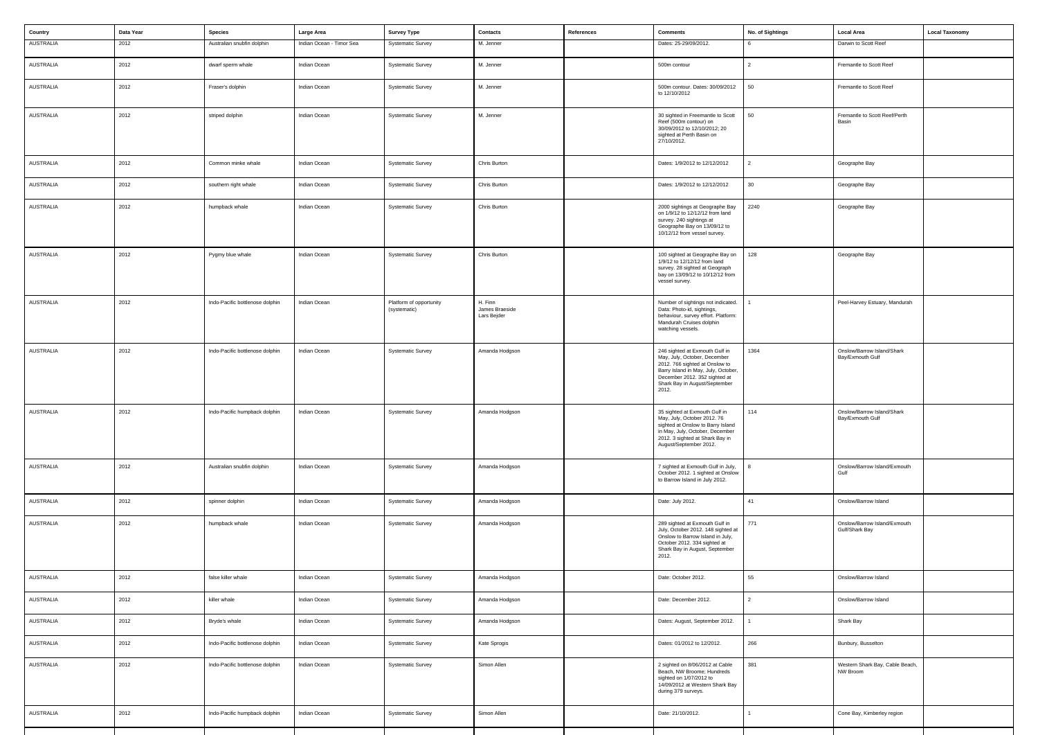| Country          | Data Year | Species                         | Large Area               | <b>Survey Type</b>                      | Contacts                                 | References | <b>Comments</b>                                                                                                                                                                                                    | No. of Sightings | <b>Local Area</b>                              | <b>Local Taxonomy</b> |
|------------------|-----------|---------------------------------|--------------------------|-----------------------------------------|------------------------------------------|------------|--------------------------------------------------------------------------------------------------------------------------------------------------------------------------------------------------------------------|------------------|------------------------------------------------|-----------------------|
| AUSTRALIA        | 2012      | Australian snubfin dolphin      | Indian Ocean - Timor Sea | <b>Systematic Survey</b>                | M. Jenner                                |            | Dates: 25-29/09/2012.                                                                                                                                                                                              |                  | Darwin to Scott Reef                           |                       |
| AUSTRALIA        | 2012      | dwarf sperm whale               | Indian Ocean             | <b>Systematic Survey</b>                | M. Jenner                                |            | 500m contour                                                                                                                                                                                                       | $\overline{2}$   | Fremantle to Scott Reef                        |                       |
| AUSTRALIA        | 2012      | Fraser's dolphin                | Indian Ocean             | <b>Systematic Survey</b>                | M. Jenner                                |            | 500m contour. Dates: 30/09/2012<br>to 12/10/2012                                                                                                                                                                   | 50               | Fremantle to Scott Reef                        |                       |
| <b>AUSTRALIA</b> | 2012      | striped dolphin                 | Indian Ocean             | <b>Systematic Survey</b>                | M. Jenner                                |            | 30 sighted in Freemantle to Scott<br>Reef (500m contour) on<br>30/09/2012 to 12/10/2012; 20<br>sighted at Perth Basin on<br>27/10/2012.                                                                            | 50               | Fremantle to Scott Reef/Perth<br>Basin         |                       |
| AUSTRALIA        | 2012      | Common minke whale              | Indian Ocean             | Systematic Survey                       | Chris Burton                             |            | Dates: 1/9/2012 to 12/12/2012                                                                                                                                                                                      | $\overline{2}$   | Geographe Bay                                  |                       |
| AUSTRALIA        | 2012      | southern right whale            | Indian Ocean             | <b>Systematic Survey</b>                | Chris Burton                             |            | Dates: 1/9/2012 to 12/12/2012                                                                                                                                                                                      | 30               | Geographe Bay                                  |                       |
| AUSTRALIA        | 2012      | humpback whale                  | Indian Ocean             | <b>Systematic Survey</b>                | Chris Burton                             |            | 2000 sightings at Geographe Bay<br>on 1/9/12 to 12/12/12 from land<br>survey. 240 sightings at<br>Geographe Bay on 13/09/12 to<br>10/12/12 from vessel survey.                                                     | 2240             | Geographe Bay                                  |                       |
| AUSTRALIA        | 2012      | Pygmy blue whale                | Indian Ocean             | <b>Systematic Survey</b>                | Chris Burton                             |            | 100 sighted at Geographe Bay on<br>1/9/12 to 12/12/12 from land<br>survey. 28 sighted at Geograph<br>bay on 13/09/12 to 10/12/12 from<br>vessel survey.                                                            | 128              | Geographe Bay                                  |                       |
| <b>AUSTRALIA</b> | 2012      | Indo-Pacific bottlenose dolphin | Indian Ocean             | Platform of opportunity<br>(systematic) | H. Finn<br>James Braeside<br>Lars Bejder |            | Number of sightings not indicated.<br>Data: Photo-id, sightings,<br>behaviour, survey effort. Platform:<br>Mandurah Cruises dolphin<br>watching vessels.                                                           |                  | Peel-Harvey Estuary, Mandurah                  |                       |
| AUSTRALIA        | 2012      | Indo-Pacific bottlenose dolphin | Indian Ocean             | <b>Systematic Survey</b>                | Amanda Hodgson                           |            | 246 sighted at Exmouth Gulf in<br>May, July, October, December<br>2012. 766 sighted at Onslow to<br>Barry Island in May, July, October,<br>December 2012. 352 sighted at<br>Shark Bay in August/September<br>2012. | 1364             | Onslow/Barrow Island/Shark<br>Bay/Exmouth Gulf |                       |
| AUSTRALIA        | 2012      | Indo-Pacific humpback dolphin   | Indian Ocean             | Systematic Survey                       | Amanda Hodgson                           |            | 35 sighted at Exmouth Gulf in<br>May, July, October 2012. 76<br>sighted at Onslow to Barry Island<br>in May, July, October, December<br>2012. 3 sighted at Shark Bay in<br>August/September 2012.                  | 114              | Onslow/Barrow Island/Shark<br>Bay/Exmouth Gulf |                       |
| AUSTRALIA        | 2012      | Australian snubfin dolphin      | Indian Ocean             | <b>Systematic Survey</b>                | Amanda Hodgson                           |            | 7 sighted at Exmouth Gulf in July,<br>October 2012. 1 sighted at Onslow<br>to Barrow Island in July 2012.                                                                                                          |                  | Onslow/Barrow Island/Exmouth<br>Gulf           |                       |
| AUSTRALIA        | 2012      | spinner dolphin                 | Indian Ocean             | <b>Systematic Survey</b>                | Amanda Hodgson                           |            | Date: July 2012.                                                                                                                                                                                                   | 41               | Onslow/Barrow Island                           |                       |
| AUSTRALIA        | 2012      | humpback whale                  | Indian Ocean             | <b>Systematic Survey</b>                | Amanda Hodgson                           |            | 289 sighted at Exmouth Gulf in<br>July, October 2012. 148 sighted at<br>Onslow to Barrow Island in July,<br>October 2012. 334 sighted at<br>Shark Bay in August, September<br>2012.                                | 771              | Onslow/Barrow Island/Exmouth<br>Gulf/Shark Bay |                       |
| AUSTRALIA        | 2012      | false killer whale              | Indian Ocean             | <b>Systematic Survey</b>                | Amanda Hodgson                           |            | Date: October 2012.                                                                                                                                                                                                | 55               | Onslow/Barrow Island                           |                       |
| AUSTRALIA        | 2012      | killer whale                    | Indian Ocean             | <b>Systematic Survey</b>                | Amanda Hodgson                           |            | Date: December 2012.                                                                                                                                                                                               | $\overline{2}$   | Onslow/Barrow Island                           |                       |
| AUSTRALIA        | 2012      | Bryde's whale                   | Indian Ocean             | <b>Systematic Survey</b>                | Amanda Hodgson                           |            | Dates: August, September 2012.                                                                                                                                                                                     |                  | Shark Bay                                      |                       |
| AUSTRALIA        | 2012      | Indo-Pacific bottlenose dolphin | Indian Ocean             | <b>Systematic Survey</b>                | Kate Sprogis                             |            | Dates: 01/2012 to 12/2012.                                                                                                                                                                                         | 266              | Bunbury, Busselton                             |                       |
| AUSTRALIA        | 2012      | Indo-Pacific bottlenose dolphin | Indian Ocean             | <b>Systematic Survey</b>                | Simon Allen                              |            | 2 sighted on 8/06/2012 at Cable<br>Beach, NW Broome; Hundreds<br>sighted on 1/07/2012 to<br>14/09/2012 at Western Shark Bay<br>during 379 surveys.                                                                 | 381              | Western Shark Bay, Cable Beach,<br>NW Broom    |                       |
| AUSTRALIA        | 2012      | Indo-Pacific humpback dolphin   | Indian Ocean             | <b>Systematic Survey</b>                | Simon Allen                              |            | Date: 21/10/2012.                                                                                                                                                                                                  |                  | Cone Bay, Kimberley region                     |                       |
|                  |           |                                 |                          |                                         |                                          |            |                                                                                                                                                                                                                    |                  |                                                |                       |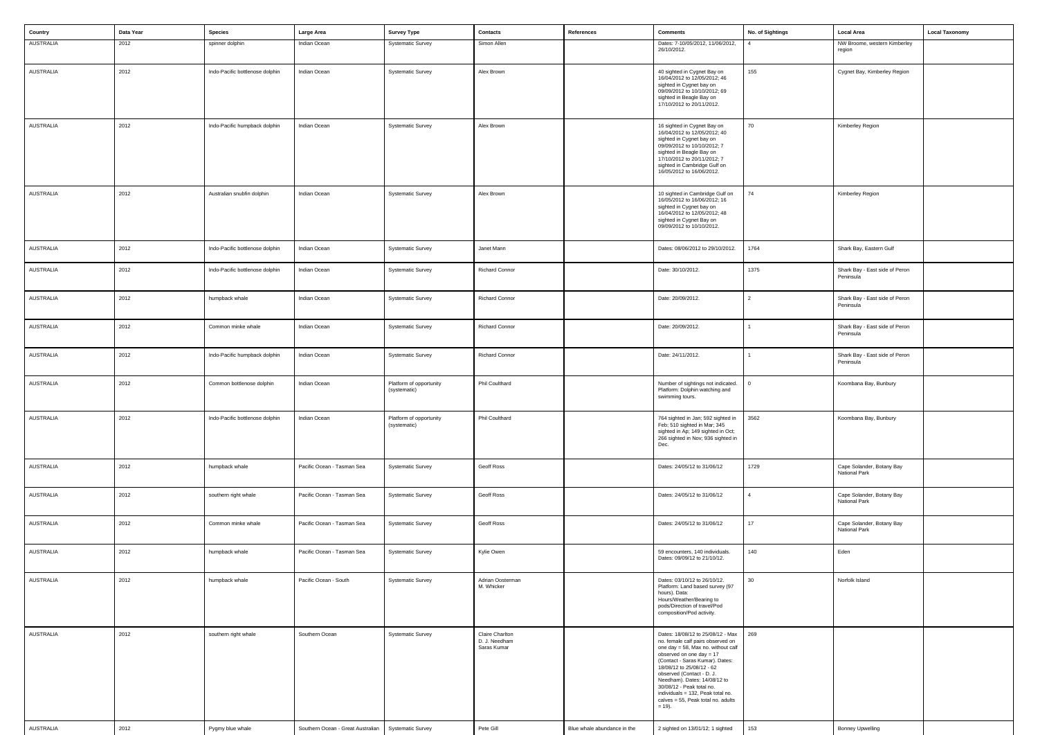| Country          | Data Year | <b>Species</b>                  | Large Area                        | <b>Survey Type</b>                      | <b>Contacts</b>                                 | References                  | <b>Comments</b>                                                                                                                                                                                                                                                                                                                                                                           | No. of Sightings | <b>Local Area</b>                           | <b>Local Taxonomy</b> |
|------------------|-----------|---------------------------------|-----------------------------------|-----------------------------------------|-------------------------------------------------|-----------------------------|-------------------------------------------------------------------------------------------------------------------------------------------------------------------------------------------------------------------------------------------------------------------------------------------------------------------------------------------------------------------------------------------|------------------|---------------------------------------------|-----------------------|
| AUSTRALIA        | 2012      | spinner dolphin                 | Indian Ocean                      | <b>Systematic Survey</b>                | Simon Allen                                     |                             | Dates: 7-10/05/2012, 11/06/2012,                                                                                                                                                                                                                                                                                                                                                          | 4                | NW Broome, western Kimberley                |                       |
|                  |           |                                 |                                   |                                         |                                                 |                             | 26/10/2012.                                                                                                                                                                                                                                                                                                                                                                               |                  | region                                      |                       |
| AUSTRALIA        | 2012      | Indo-Pacific bottlenose dolphin | Indian Ocean                      | <b>Systematic Survey</b>                | Alex Brown                                      |                             | 40 sighted in Cygnet Bay on<br>16/04/2012 to 12/05/2012; 46<br>sighted in Cygnet bay on<br>09/09/2012 to 10/10/2012; 69<br>sighted in Beagle Bay on<br>17/10/2012 to 20/11/2012.                                                                                                                                                                                                          | 155              | Cygnet Bay, Kimberley Region                |                       |
| AUSTRALIA        | 2012      | Indo-Pacific humpback dolphin   | Indian Ocean                      | <b>Systematic Survey</b>                | Alex Brown                                      |                             | 16 sighted in Cygnet Bay on<br>16/04/2012 to 12/05/2012; 40<br>sighted in Cygnet bay on<br>09/09/2012 to 10/10/2012; 7<br>sighted in Beagle Bay on<br>17/10/2012 to 20/11/2012; 7<br>sighted in Cambridge Gulf on<br>16/05/2012 to 16/06/2012.                                                                                                                                            | 70               | Kimberley Region                            |                       |
| AUSTRALIA        | 2012      | Australian snubfin dolphin      | Indian Ocean                      | <b>Systematic Survey</b>                | Alex Brown                                      |                             | 10 sighted in Cambridge Gulf on<br>16/05/2012 to 16/06/2012; 16<br>sighted in Cygnet bay on<br>16/04/2012 to 12/05/2012; 48<br>sighted in Cygnet Bay on<br>09/09/2012 to 10/10/2012.                                                                                                                                                                                                      | 74               | Kimberley Region                            |                       |
| <b>AUSTRALIA</b> | 2012      | Indo-Pacific bottlenose dolphin | Indian Ocean                      | <b>Systematic Survey</b>                | Janet Mann                                      |                             | Dates: 08/06/2012 to 29/10/2012.                                                                                                                                                                                                                                                                                                                                                          | 1764             | Shark Bay, Eastern Gulf                     |                       |
| AUSTRALIA        | 2012      | Indo-Pacific bottlenose dolphin | Indian Ocean                      | <b>Systematic Survey</b>                | <b>Richard Connor</b>                           |                             | Date: 30/10/2012.                                                                                                                                                                                                                                                                                                                                                                         | 1375             | Shark Bay - East side of Peron<br>Peninsula |                       |
| AUSTRALIA        | 2012      | humpback whale                  | Indian Ocean                      | <b>Systematic Survey</b>                | <b>Richard Connor</b>                           |                             | Date: 20/09/2012.                                                                                                                                                                                                                                                                                                                                                                         | $\overline{2}$   | Shark Bay - East side of Peron<br>Peninsula |                       |
| AUSTRALIA        | 2012      | Common minke whale              | Indian Ocean                      | <b>Systematic Survey</b>                | <b>Richard Connor</b>                           |                             | Date: 20/09/2012.                                                                                                                                                                                                                                                                                                                                                                         |                  | Shark Bay - East side of Peron<br>Peninsula |                       |
| AUSTRALIA        | 2012      | Indo-Pacific humpback dolphin   | Indian Ocean                      | <b>Systematic Survey</b>                | <b>Richard Connor</b>                           |                             | Date: 24/11/2012.                                                                                                                                                                                                                                                                                                                                                                         |                  | Shark Bay - East side of Peron<br>Peninsula |                       |
| <b>AUSTRALIA</b> | 2012      | Common bottlenose dolphin       | Indian Ocean                      | Platform of opportunity<br>(systematic) | Phil Coulthard                                  |                             | Number of sightings not indicated.<br>Platform: Dolphin watching and<br>swimming tours.                                                                                                                                                                                                                                                                                                   | 0                | Koombana Bay, Bunbury                       |                       |
| AUSTRALIA        | 2012      | Indo-Pacific bottlenose dolphin | Indian Ocean                      | Platform of opportunity<br>(systematic) | Phil Coulthard                                  |                             | 764 sighted in Jan; 592 sighted in<br>Feb; 510 sighted in Mar; 345<br>sighted in Ap; 149 sighted in Oct;<br>266 sighted in Nov; 936 sighted in<br>Dec.                                                                                                                                                                                                                                    | 3562             | Koombana Bay, Bunbury                       |                       |
| AUSTRALIA        | 2012      | humpback whale                  | Pacific Ocean - Tasman Sea        | <b>Systematic Survey</b>                | Geoff Ross                                      |                             | Dates: 24/05/12 to 31/06/12                                                                                                                                                                                                                                                                                                                                                               | 1729             | Cape Solander, Botany Bay<br>National Park  |                       |
| AUSTRALIA        | 2012      | southern right whale            | Pacific Ocean - Tasman Sea        | <b>Systematic Survey</b>                | Geoff Ross                                      |                             | Dates: 24/05/12 to 31/06/12                                                                                                                                                                                                                                                                                                                                                               | 4                | Cape Solander, Botany Bay<br>National Park  |                       |
| AUSTRALIA        | 2012      | Common minke whale              | Pacific Ocean - Tasman Sea        | <b>Systematic Survey</b>                | Geoff Ross                                      |                             | Dates: 24/05/12 to 31/06/12                                                                                                                                                                                                                                                                                                                                                               | 17               | Cape Solander, Botany Bay<br>National Park  |                       |
| AUSTRALIA        | 2012      | humpback whale                  | Pacific Ocean - Tasman Sea        | <b>Systematic Survey</b>                | Kylie Owen                                      |                             | 59 encounters, 140 individuals.<br>Dates: 09/09/12 to 21/10/12.                                                                                                                                                                                                                                                                                                                           | 140              | Eden                                        |                       |
| AUSTRALIA        | 2012      | humpback whale                  | Pacific Ocean - South             | <b>Systematic Survey</b>                | Adrian Oosterman<br>M. Whicker                  |                             | Dates: 03/10/12 to 26/10/12.<br>Platform: Land based survey (97<br>hours). Data:<br>Hours/Weather/Bearing to<br>pods/Direction of travel/Pod<br>composition/Pod activity.                                                                                                                                                                                                                 | 30 <sup>°</sup>  | Norfolk Island                              |                       |
| <b>AUSTRALIA</b> | 2012      | southern right whale            | Southern Ocean                    | <b>Systematic Survey</b>                | Claire Charlton<br>D. J. Needham<br>Saras Kumar |                             | Dates: 18/08/12 to 25/08/12 - Max<br>no. female calf pairs observed on<br>one day = 58, Max no. without calf<br>observed on one day = 17<br>(Contact - Saras Kumar). Dates:<br>18/08/12 to 25/08/12 - 62<br>observed (Contact - D. J.<br>Needham). Dates: 14/08/12 to<br>30/08/12 - Peak total no.<br>individuals = 132, Peak total no.<br>calves = 55, Peak total no. adults<br>$= 19$ . | 269              |                                             |                       |
| AUSTRALIA        | 2012      | Pygmy blue whale                | Southern Ocean - Great Australian | <b>Systematic Survey</b>                | Pete Gill                                       | Blue whale abundance in the | 2 sighted on 13/01/12; 1 sighted                                                                                                                                                                                                                                                                                                                                                          | 153              | <b>Bonney Upwelling</b>                     |                       |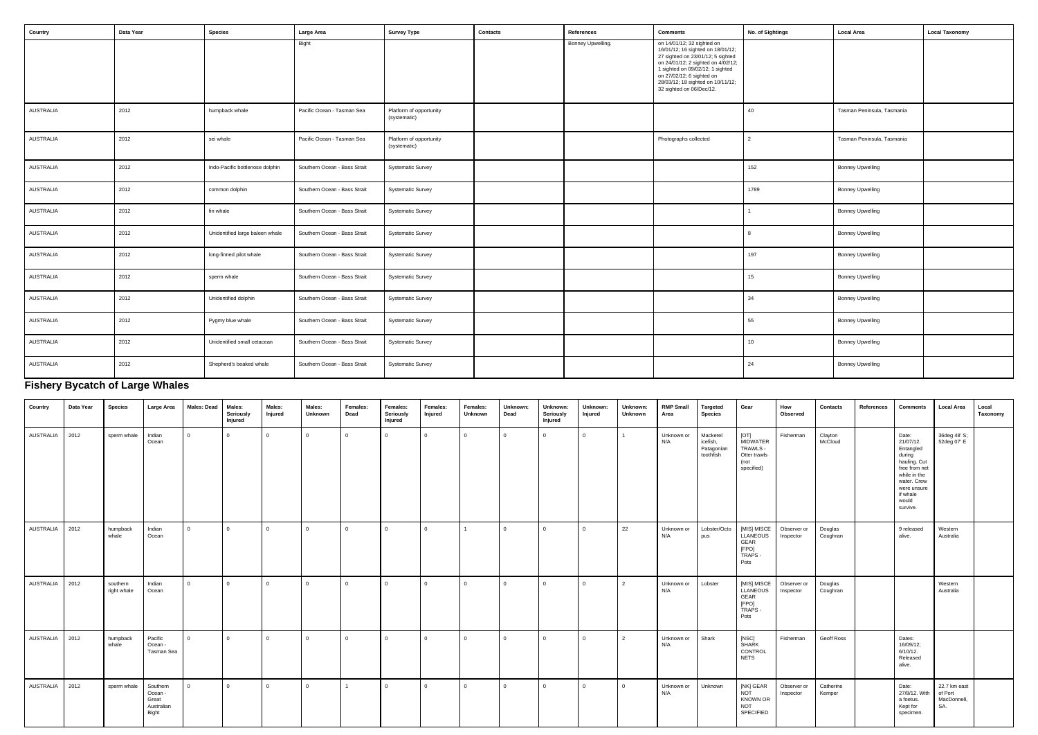| Country   | Data Year | <b>Species</b>                  | Large Area                   | <b>Survey Type</b>                      | Contacts | References        | <b>Comments</b>                                                                                                                                                                                                                                                              | No. of Sightings | <b>Local Area</b>          | <b>Local Taxonomy</b> |
|-----------|-----------|---------------------------------|------------------------------|-----------------------------------------|----------|-------------------|------------------------------------------------------------------------------------------------------------------------------------------------------------------------------------------------------------------------------------------------------------------------------|------------------|----------------------------|-----------------------|
|           |           |                                 | Bight                        |                                         |          | Bonney Upwelling. | on 14/01/12; 32 sighted on<br>16/01/12; 16 sighted on 18/01/12;<br>27 sighted on 23/01/12; 5 sighted<br>on 24/01/12; 2 sighted on 4/02/12;<br>1 sighted on 09/02/12; 1 sighted<br>on 27/02/12; 6 sighted on<br>28/03/12; 18 sighted on 10/11/12;<br>32 sighted on 06/Dec/12. |                  |                            |                       |
| AUSTRALIA | 2012      | humpback whale                  | Pacific Ocean - Tasman Sea   | Platform of opportunity<br>(systematic) |          |                   |                                                                                                                                                                                                                                                                              | 40               | Tasman Peninsula, Tasmania |                       |
| AUSTRALIA | 2012      | sei whale                       | Pacific Ocean - Tasman Sea   | Platform of opportunity<br>(systematic) |          |                   | Photographs collected                                                                                                                                                                                                                                                        | 2                | Tasman Peninsula, Tasmania |                       |
| AUSTRALIA | 2012      | Indo-Pacific bottlenose dolphin | Southern Ocean - Bass Strait | <b>Systematic Survey</b>                |          |                   |                                                                                                                                                                                                                                                                              | 152              | <b>Bonney Upwelling</b>    |                       |
| AUSTRALIA | 2012      | common dolphin                  | Southern Ocean - Bass Strait | <b>Systematic Survey</b>                |          |                   |                                                                                                                                                                                                                                                                              | 1789             | <b>Bonney Upwelling</b>    |                       |
| AUSTRALIA | 2012      | fin whale                       | Southern Ocean - Bass Strait | <b>Systematic Survey</b>                |          |                   |                                                                                                                                                                                                                                                                              |                  | <b>Bonney Upwelling</b>    |                       |
| AUSTRALIA | 2012      | Unidentified large baleen whale | Southern Ocean - Bass Strait | <b>Systematic Survey</b>                |          |                   |                                                                                                                                                                                                                                                                              |                  | <b>Bonney Upwelling</b>    |                       |
| AUSTRALIA | 2012      | long-finned pilot whale         | Southern Ocean - Bass Strait | <b>Systematic Survey</b>                |          |                   |                                                                                                                                                                                                                                                                              | 197              | <b>Bonney Upwelling</b>    |                       |
| AUSTRALIA | 2012      | sperm whale                     | Southern Ocean - Bass Strait | <b>Systematic Survey</b>                |          |                   |                                                                                                                                                                                                                                                                              | 15 <sub>15</sub> | <b>Bonney Upwelling</b>    |                       |
| AUSTRALIA | 2012      | Unidentified dolphin            | Southern Ocean - Bass Strait | <b>Systematic Survey</b>                |          |                   |                                                                                                                                                                                                                                                                              | 34               | <b>Bonney Upwelling</b>    |                       |
| AUSTRALIA | 2012      | Pygmy blue whale                | Southern Ocean - Bass Strait | <b>Systematic Survey</b>                |          |                   |                                                                                                                                                                                                                                                                              | 55               | <b>Bonney Upwelling</b>    |                       |
| AUSTRALIA | 2012      | Unidentified small cetacean     | Southern Ocean - Bass Strait | <b>Systematic Survey</b>                |          |                   |                                                                                                                                                                                                                                                                              | 10 <sub>1</sub>  | <b>Bonney Upwelling</b>    |                       |
| AUSTRALIA | 2012      | Shepherd's beaked whale         | Southern Ocean - Bass Strait | <b>Systematic Survey</b>                |          |                   |                                                                                                                                                                                                                                                                              | 24               | <b>Bonney Upwelling</b>    |                       |

# **Fishery Bycatch of Large Whales**

| Country   | Data Year | <b>Species</b>          | Large Area                                          | <b>Males: Dead</b> | Males:<br>Seriously<br>Injured | Males:<br>Injured | Males:<br>Unknown | Females:<br>Dead | Females:<br>Seriously<br>Injured | Females:<br>Injured | Females:<br>Unknown | Unknown:<br>Dead | Unknown:<br>Seriously<br>Injured | Unknown:<br>Injured | Unknown:<br>Unknown | <b>RMP Small</b><br>Area | <b>Targeted</b><br><b>Species</b>               | Gear                                                                      | How<br>Observed          | <b>Contacts</b>     | References | Comments                                                                                                                                                  | <b>Local Area</b>                             | Local<br>Taxonomy |
|-----------|-----------|-------------------------|-----------------------------------------------------|--------------------|--------------------------------|-------------------|-------------------|------------------|----------------------------------|---------------------|---------------------|------------------|----------------------------------|---------------------|---------------------|--------------------------|-------------------------------------------------|---------------------------------------------------------------------------|--------------------------|---------------------|------------|-----------------------------------------------------------------------------------------------------------------------------------------------------------|-----------------------------------------------|-------------------|
| AUSTRALIA | 2012      | sperm whale             | Indian<br>Ocean                                     | $\Omega$           | $\Omega$                       | $\Omega$          | $\Omega$          | $\Omega$         | <sup>n</sup>                     | 0                   | n.                  | $\Omega$         |                                  | n.                  |                     | Unknown or<br>N/A        | Mackerel<br>icefish,<br>Patagonian<br>toothfish | [OT]<br><b>MIDWATER</b><br>TRAWLS -<br>Otter trawls<br>(not<br>specified) | Fisherman                | Clayton<br>McCloud  |            | Date:<br>21/07/12.<br>Entangled<br>during<br>hauling. Cut<br>free from net<br>while in the<br>water. Crew<br>were unsure<br>if whale<br>would<br>survive. | 36deg 48' S;<br>52deg 07' E                   |                   |
| AUSTRALIA | 2012      | humpback<br>whale       | Indian<br>Ocean                                     | $\overline{0}$     | $\overline{0}$                 | $\overline{0}$    | $\mathbf{0}$      | $\mathbf 0$      | $\Omega$                         | $\mathbf 0$         |                     | $\mathbf{0}$     | $\Omega$                         | $\Omega$            | 22                  | Unknown or<br>N/A        | Lobster/Octo<br>pus                             | [MIS] MISCE<br>LLANEOUS<br>GEAR<br>[FPO]<br>TRAPS -<br>Pots               | Observer or<br>Inspector | Douglas<br>Coughran |            | 9 released<br>alive.                                                                                                                                      | Western<br>Australia                          |                   |
| AUSTRALIA | 2012      | southern<br>right whale | Indian<br>Ocean                                     | $\Omega$           | $\Omega$                       | $\Omega$          | $\Omega$          | $\Omega$         |                                  | $\Omega$            | $\Omega$            | $\Omega$         | O.                               | n                   | $\overline{2}$      | Unknown or<br>N/A        | Lobster                                         | [MIS] MISCE<br><b>LLANEOUS</b><br>GEAR<br>[FPO]<br>TRAPS -<br>Pots        | Observer or<br>Inspector | Douglas<br>Coughran |            |                                                                                                                                                           | Western<br>Australia                          |                   |
| AUSTRALIA | 2012      | humpback<br>whale       | Pacific<br>Ocean -<br>Tasman Sea                    | $\Omega$           | $\Omega$                       | $\Omega$          | $\Omega$          | $\Omega$         | $\Omega$                         | $\Omega$            | $\Omega$            | 0                |                                  |                     | $\overline{2}$      | Unknown or<br>N/A        | Shark                                           | [NSC]<br><b>SHARK</b><br>CONTROL<br><b>NETS</b>                           | Fisherman                | Geoff Ross          |            | Dates:<br>16/09/12;<br>6/10/12.<br>Released<br>alive.                                                                                                     |                                               |                   |
| AUSTRALIA | 2012      | sperm whale             | Southern<br>Ocean -<br>Great<br>Australian<br>Bight | $\Omega$           | $\overline{0}$                 | $\overline{0}$    | $\Omega$          |                  | $\Omega$                         | $\Omega$            | $\Omega$            | $\mathbf{0}$     | $\Omega$                         | $\Omega$            | $\Omega$            | Unknown or<br>N/A        | Unknown                                         | [NK] GEAR<br><b>NOT</b><br><b>KNOWN OR</b><br><b>NOT</b><br>SPECIFIED     | Observer or<br>Inspector | Catherine<br>Kemper |            | Date:<br>27/8/12. With<br>a foetus.<br>Kept for<br>specimen.                                                                                              | 22.7 km east<br>of Port<br>MacDonnell,<br>SA. |                   |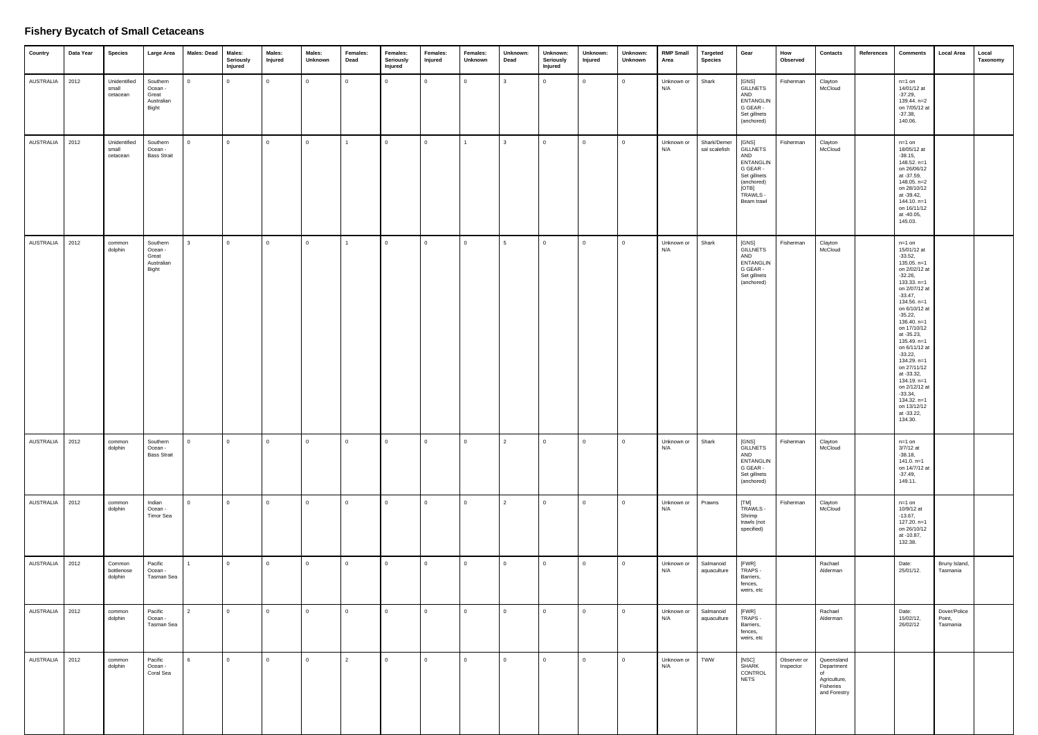### **Fishery Bycatch of Small Cetaceans**

| Country   | Data Year | <b>Species</b>                    | Large Area                                          | <b>Males: Dead</b> | Males:<br>Seriously<br>Injured | Males:<br>Injured | Males:<br>Unknown | Females:<br>Dead | Females:<br>Seriously<br>Injured | Females:<br>Injured | Females:<br>Unknown | Unknown:<br>Dead | Unknown:<br>Seriously<br>Injured | Unknown:<br>Injured | Unknown:<br>Unknown | <b>RMP Small</b><br>Area | <b>Targeted</b><br><b>Species</b> | Gear                                                                                                                             | How<br>Observed          | Contacts                                                                    | References | <b>Comments</b>                                                                                                                                                                                                                                                                                                                                                                                                                  | <b>Local Area</b>                  | Local<br>Taxonomy |
|-----------|-----------|-----------------------------------|-----------------------------------------------------|--------------------|--------------------------------|-------------------|-------------------|------------------|----------------------------------|---------------------|---------------------|------------------|----------------------------------|---------------------|---------------------|--------------------------|-----------------------------------|----------------------------------------------------------------------------------------------------------------------------------|--------------------------|-----------------------------------------------------------------------------|------------|----------------------------------------------------------------------------------------------------------------------------------------------------------------------------------------------------------------------------------------------------------------------------------------------------------------------------------------------------------------------------------------------------------------------------------|------------------------------------|-------------------|
| AUSTRALIA | 2012      | Unidentified<br>small<br>cetacean | Southern<br>Ocean -<br>Great<br>Australian<br>Bight | $\overline{0}$     | $\overline{0}$                 | $\overline{0}$    | $\mathbf{0}$      | $\overline{0}$   | $\Omega$                         | $\mathbf{0}$        | 0                   | $\mathbf{3}$     | $\Omega$                         | $\overline{0}$      | $\overline{0}$      | Unknown or<br>N/A        | Shark                             | [GNS]<br><b>GILLNETS</b><br>AND<br><b>ENTANGLIN</b><br>G GEAR -<br>Set gillnets<br>(anchored)                                    | Fisherman                | Clayton<br>McCloud                                                          |            | $n=1$ on<br>14/01/12 at<br>$-37.29,$<br>139.44. n=2<br>on 7/05/12 at<br>$-37.38,$<br>140.06.                                                                                                                                                                                                                                                                                                                                     |                                    |                   |
| AUSTRALIA | 2012      | Unidentified<br>small<br>cetacean | Southern<br>Ocean -<br><b>Bass Strait</b>           | $\Omega$           | $\overline{0}$                 | $\overline{0}$    | $\mathbf{0}$      | $\mathbf{1}$     | $\Omega$                         | $\mathbf 0$         |                     | 3                | $\Omega$                         | $\mathbf 0$         | $\overline{0}$      | Unknown or<br>N/A        | Shark/Demer<br>sal scalefish      | [GNS]<br><b>GILLNETS</b><br>AND<br><b>ENTANGLIN</b><br>G GEAR -<br>Set gillnets<br>(anchored)<br>[OTB]<br>TRAWLS -<br>Beam trawl | Fisherman                | Clayton<br>McCloud                                                          |            | $n=1$ on<br>18/05/12 at<br>$-38.15,$<br>148.52. n=1<br>on 26/06/12<br>at -37.59,<br>$148.05. n=2$<br>on 28/10/12<br>at -39.42,<br>$144.10. n=1$<br>on 16/11/12<br>at -40.05,<br>145.03.                                                                                                                                                                                                                                          |                                    |                   |
| AUSTRALIA | 2012      | common<br>dolphin                 | Southern<br>Ocean -<br>Great<br>Australian<br>Bight | 3                  | $\mathbf{0}$                   | $\mathbf{0}$      | $\mathbf 0$       |                  | $\mathbf 0$                      | $\mathbf 0$         | $\mathbf{0}$        | 5                | $\overline{0}$                   | $\mathbf{0}$        | $\Omega$            | Unknown or<br>N/A        | Shark                             | [GNS]<br><b>GILLNETS</b><br>AND<br><b>ENTANGLIN</b><br>G GEAR -<br>Set gillnets<br>(anchored)                                    | Fisherman                | Clayton<br>McCloud                                                          |            | $n=1$ on<br>15/01/12 at<br>$-33.52,$<br>$135.05. n=1$<br>on 2/02/12 at<br>$-32.26,$<br>$133.33. n=1$<br>on 2/07/12 at<br>$-33.47,$<br>$134.56. n=1$<br>on 6/10/12 at<br>$-35.22,$<br>$136.40. n=1$<br>on 17/10/12<br>at -35.23,<br>135.49. n=1<br>on 6/11/12 at<br>$-33.22,$<br>134.29. n=1<br>on 27/11/12<br>at -33.32,<br>$134.19. n=1$<br>on 2/12/12 at<br>$-33.34,$<br>$134.32. n=1$<br>on 13/12/12<br>at -33.22,<br>134.30. |                                    |                   |
| AUSTRALIA | 2012      | common<br>dolphin                 | Southern<br>Ocean -<br><b>Bass Strait</b>           | $\overline{0}$     | $\overline{0}$                 | $\mathbf{0}$      | $\mathbf 0$       | $\mathbf 0$      | $\mathbf 0$                      | $\mathbf{0}$        | 0                   | 2                | $\mathbf{0}$                     | $\mathbf{0}$        | $\mathbf 0$         | Unknown or<br>N/A        | Shark                             | [GNS]<br><b>GILLNETS</b><br>AND<br><b>ENTANGLIN</b><br>G GEAR -<br>Set gillnets<br>(anchored)                                    | Fisherman                | Clayton<br>McCloud                                                          |            | $n=1$ on<br>3/7/12 at<br>$-38.18,$<br>$141.0. n=1$<br>on 14/7/12 at<br>$-37.49,$<br>149.11.                                                                                                                                                                                                                                                                                                                                      |                                    |                   |
| AUSTRALIA | 2012      | common<br>dolphin                 | Indian<br>Ocean -<br>Timor Sea                      | $\overline{0}$     | $\overline{0}$                 | $\mathbf 0$       | $\mathbf 0$       | $\Omega$         | $\Omega$                         | $\mathbf{0}$        | $\mathbf{0}$        | $\overline{2}$   | $\Omega$                         | $\mathbf 0$         | $\overline{0}$      | Unknown or<br>N/A        | Prawns                            | [TM]<br>TRAWLS -<br>Shrimp<br>trawls (not<br>specified)                                                                          | Fisherman                | Clayton<br>McCloud                                                          |            | $n=1$ on<br>10/9/12 at<br>$-13.67,$<br>$127.20. n=1$<br>on 26/10/12<br>at -10.87,<br>132.38.                                                                                                                                                                                                                                                                                                                                     |                                    |                   |
| AUSTRALIA | 2012      | Common<br>bottlenose<br>dolphin   | Pacific<br>Ocean -<br>Tasman Sea                    | $\mathbf{1}$       | $\overline{0}$                 | $\overline{0}$    | $\mathbf{0}$      | $\mathbf 0$      | $\mathbf 0$                      | $\mathbf 0$         | $\mathbf{0}$        | $\mathbf{0}$     | $\mathbf 0$                      | $\mathbf{0}$        | $\overline{0}$      | Unknown or<br>N/A        | Salmanoid<br>aquaculture          | [FWR]<br>TRAPS -<br>Barriers,<br>fences,<br>weirs, etc                                                                           |                          | Rachael<br>Alderman                                                         |            | Date:<br>25/01/12.                                                                                                                                                                                                                                                                                                                                                                                                               | Bruny Island,<br>Tasmania          |                   |
| AUSTRALIA | 2012      | common<br>dolphin                 | Pacific<br>Ocean -<br>Tasman Sea                    | $\overline{2}$     | $\overline{0}$                 | $\overline{0}$    | $\overline{0}$    | $\overline{0}$   | $\mathbf{0}$                     | $\mathbf{0}$        | $\mathbf{0}$        | $\mathbf 0$      | $\mathbf 0$                      | $\overline{0}$      | $\overline{0}$      | Unknown or<br>N/A        | Salmanoid<br>aquaculture          | [FWR]<br>TRAPS -<br>Barriers,<br>fences,<br>weirs, etc                                                                           |                          | Rachael<br>Alderman                                                         |            | Date:<br>15/02/12,<br>26/02/12                                                                                                                                                                                                                                                                                                                                                                                                   | Dover/Police<br>Point,<br>Tasmania |                   |
| AUSTRALIA | 2012      | common<br>dolphin                 | Pacific<br>Ocean -<br>Coral Sea                     | 6                  | $\overline{0}$                 | $\mathbf 0$       | $\mathbf 0$       | $\overline{2}$   | $\Omega$                         | $\Omega$            | $\mathbf{0}$        | $\mathbf{0}$     | $\Omega$                         | $\mathbf 0$         | $\overline{0}$      | Unknown or<br>N/A        | TWW                               | [NSC]<br>SHARK<br>CONTROL<br><b>NETS</b>                                                                                         | Observer or<br>Inspector | Queensland<br>Department<br>of<br>Agriculture,<br>Fisheries<br>and Forestry |            |                                                                                                                                                                                                                                                                                                                                                                                                                                  |                                    |                   |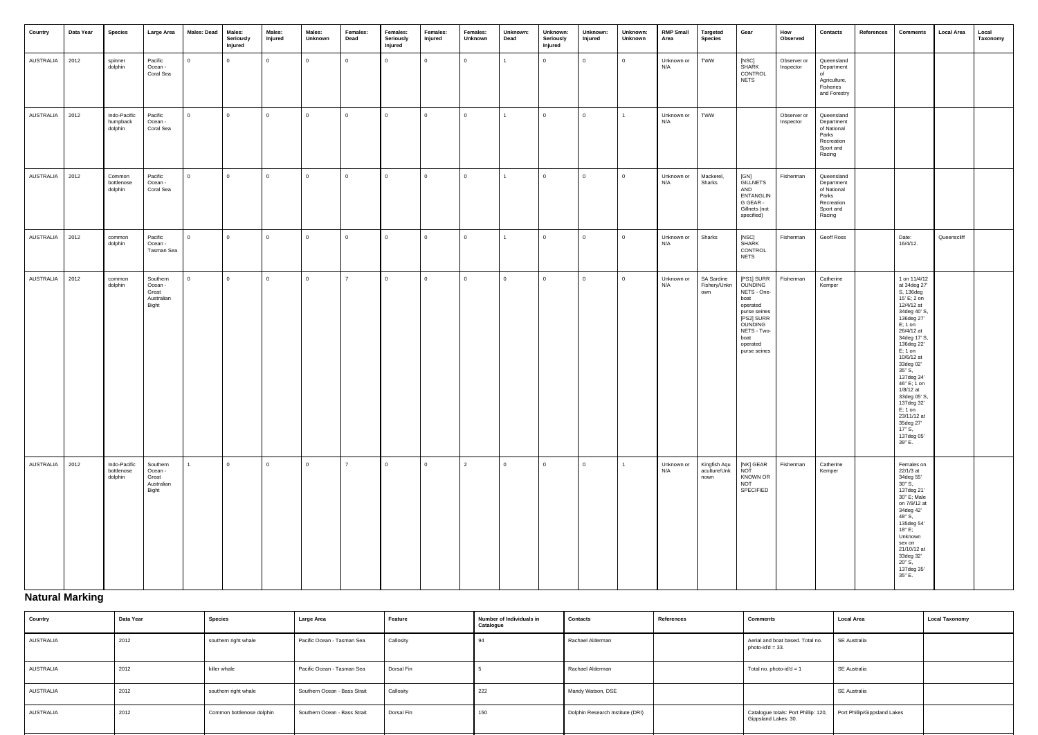| Country   | Data Year | <b>Species</b>                        | Large Area                                          | <b>Males: Dead</b> | Males:<br>Seriously<br>Injured | Males:<br>Injured | Males:<br>Unknown | Females:<br>Dead | Females:<br>Seriously<br>Injured | Females:<br>Injured | Females:<br>Unknown | Unknown:<br>Dead | Unknown:<br>Seriously<br>Injured | Unknown:<br>Injured | Unknown:<br>Unknown | <b>RMP Small</b><br>Area | <b>Targeted</b><br>Species           | Gear                                                                                                                                                 | How<br>Observed          | Contacts                                                                              | References | <b>Comments</b>                                                                                                                                                                                                                                                                                                                                                     | <b>Local Area</b> | Local<br>Taxonomy |
|-----------|-----------|---------------------------------------|-----------------------------------------------------|--------------------|--------------------------------|-------------------|-------------------|------------------|----------------------------------|---------------------|---------------------|------------------|----------------------------------|---------------------|---------------------|--------------------------|--------------------------------------|------------------------------------------------------------------------------------------------------------------------------------------------------|--------------------------|---------------------------------------------------------------------------------------|------------|---------------------------------------------------------------------------------------------------------------------------------------------------------------------------------------------------------------------------------------------------------------------------------------------------------------------------------------------------------------------|-------------------|-------------------|
| AUSTRALIA | 2012      | spinner<br>dolphin                    | Pacific<br>Ocean -<br>Coral Sea                     | $\overline{0}$     | $\overline{0}$                 | $\overline{0}$    | $\overline{0}$    | $\mathsf 0$      | $\mathbf 0$                      | $\mathbf{0}$        | $\Omega$            |                  | $\mathbf{0}$                     | $\overline{0}$      | $\mathbf{0}$        | Unknown or<br>N/A        | <b>TWW</b>                           | [NSC]<br><b>SHARK</b><br>CONTROL<br><b>NETS</b>                                                                                                      | Observer or<br>Inspector | Queensland<br>Department<br>of<br>Agriculture,<br>Fisheries<br>and Forestry           |            |                                                                                                                                                                                                                                                                                                                                                                     |                   |                   |
| AUSTRALIA | 2012      | Indo-Pacific<br>humpback<br>dolphin   | Pacific<br>Ocean -<br>Coral Sea                     | $\overline{0}$     | $\overline{0}$                 | $\overline{0}$    | $\mathbf{0}$      | $\mathbf{0}$     | $\Omega$                         | $\overline{0}$      | $\Omega$            | $\mathbf{1}$     | $\Omega$                         | $\mathbf{0}$        |                     | Unknown or<br>N/A        | TWW                                  |                                                                                                                                                      | Observer or<br>Inspector | Queensland<br>Department<br>of National<br>Parks<br>Recreation<br>Sport and<br>Racing |            |                                                                                                                                                                                                                                                                                                                                                                     |                   |                   |
| AUSTRALIA | 2012      | Common<br>bottlenose<br>dolphin       | Pacific<br>Ocean -<br>Coral Sea                     | $\overline{0}$     | $\overline{0}$                 | $\overline{0}$    | $\mathbf{0}$      | $\mathbf 0$      | $\mathbf 0$                      | $\overline{0}$      | $\mathbf{0}$        | $\mathbf{1}$     | $\overline{0}$                   | $\mathbf{0}$        | $\mathbf{0}$        | Unknown or<br>N/A        | Mackerel,<br>Sharks                  | [GN]<br>GILLNETS<br>AND<br>ENTANGLIN<br>G GEAR -<br>Gillnets (not<br>specified)                                                                      | Fisherman                | Queensland<br>Department<br>of National<br>Parks<br>Recreation<br>Sport and<br>Racing |            |                                                                                                                                                                                                                                                                                                                                                                     |                   |                   |
| AUSTRALIA | 2012      | common<br>dolphin                     | Pacific<br>Ocean -<br>Tasman Sea                    | $\overline{0}$     | $\overline{0}$                 | $\overline{0}$    | $\mathbf{0}$      | $\mathbf{0}$     | $\Omega$                         | $\mathbf{0}$        | $\Omega$            | $\mathbf{1}$     | $\overline{0}$                   | $\mathbf{0}$        | $\mathbf{0}$        | Unknown or<br>N/A        | Sharks                               | [NSC]<br><b>SHARK</b><br>CONTROL<br><b>NETS</b>                                                                                                      | Fisherman                | Geoff Ross                                                                            |            | Date:<br>16/4/12.                                                                                                                                                                                                                                                                                                                                                   | Queenscliff       |                   |
| AUSTRALIA | 2012      | common<br>dolphin                     | Southern<br>Ocean -<br>Great<br>Australian<br>Bight | $\Omega$           | $\overline{0}$                 | $\mathbf{0}$      | $\mathbf{0}$      | $\overline{7}$   | $\Omega$                         | $\Omega$            | $\Omega$            | $\mathbf{0}$     | $\Omega$                         | $\Omega$            | $\Omega$            | Unknown or<br>N/A        | SA Sardine<br>Fishery/Unkn<br>own    | [PS1] SURR<br>OUNDING<br>NETS - One-<br>boat<br>operated<br>purse seines<br>[PS2] SURR<br>OUNDING<br>NETS - Two-<br>boat<br>operated<br>purse seines | Fisherman                | Catherine<br>Kemper                                                                   |            | 1 on 11/4/12<br>at 34deg 27'<br>S, 136deg<br>15' E; 2 on<br>12/4/12 at<br>34deg 40' S,<br>136deg 27'<br>$E; 1$ on<br>26/4/12 at<br>34deg 17' S,<br>136deg 22'<br>$E; 1$ on<br>10/6/12 at<br>33deg 02'<br>35" S,<br>137deg 34'<br>46" E; 1 on<br>1/8/12 at<br>33deg 05' S,<br>137deg 32'<br>$E$ ; 1 on<br>23/11/12 at<br>35deg 27'<br>17" S,<br>137deg 05'<br>39" E. |                   |                   |
| AUSTRALIA | 2012      | Indo-Pacific<br>bottlenose<br>dolphin | Southern<br>Ocean -<br>Great<br>Australian<br>Bight | $\mathbf{1}$       | $\overline{0}$                 | $\overline{0}$    | $\overline{0}$    | $\overline{7}$   | $\overline{0}$                   | $\overline{0}$      | 2                   | $\overline{0}$   | $\mathbf 0$                      | $\overline{0}$      |                     | Unknown or<br>N/A        | Kingfish Aqu<br>aculture/Unk<br>nown | [NK] GEAR<br>NOT<br><b>KNOWN OR</b><br>NOT<br>SPECIFIED                                                                                              | Fisherman                | Catherine<br>Kemper                                                                   |            | Females on<br>22/1/3 at<br>34deg 55'<br>$30"$ S,<br>137deg 21'<br>30" E; Male<br>on 7/9/12 at<br>34deg 42'<br>48" S,<br>135deg 54'<br>18" E;<br>Unknown<br>sex on<br>21/10/12 at<br>33deg 32'<br>20" S,<br>137deg 35'<br>35" E.                                                                                                                                     |                   |                   |

# **Natural Marking**

| Country          | Data Year | <b>Species</b>            | Large Area                   | Feature    | Number of Individuals in<br>Catalogue | <b>Contacts</b>                  | References | <b>Comments</b>                                              | <b>Local Area</b>            | <b>Local Taxonomy</b> |
|------------------|-----------|---------------------------|------------------------------|------------|---------------------------------------|----------------------------------|------------|--------------------------------------------------------------|------------------------------|-----------------------|
| AUSTRALIA        | 2012      | southern right whale      | Pacific Ocean - Tasman Sea   | Callosity  |                                       | Rachael Alderman                 |            | Aerial and boat based. Total no.<br>photo-id'd = $33$ .      | SE Australia                 |                       |
| <b>AUSTRALIA</b> | 2012      | killer whale              | Pacific Ocean - Tasman Sea   | Dorsal Fin |                                       | Rachael Alderman                 |            | Total no. photo-id'd = 1                                     | SE Australia                 |                       |
| <b>AUSTRALIA</b> | 2012      | southern right whale      | Southern Ocean - Bass Strait | Callosity  | 222                                   | Mandy Watson, DSE                |            |                                                              | SE Australia                 |                       |
| AUSTRALIA        | 2012      | Common bottlenose dolphin | Southern Ocean - Bass Strait | Dorsal Fin | 150                                   | Dolphin Research Institute (DRI) |            | Catalogue totals: Port Phillip: 120,<br>Gippsland Lakes: 30. | Port Phillip/Gippsland Lakes |                       |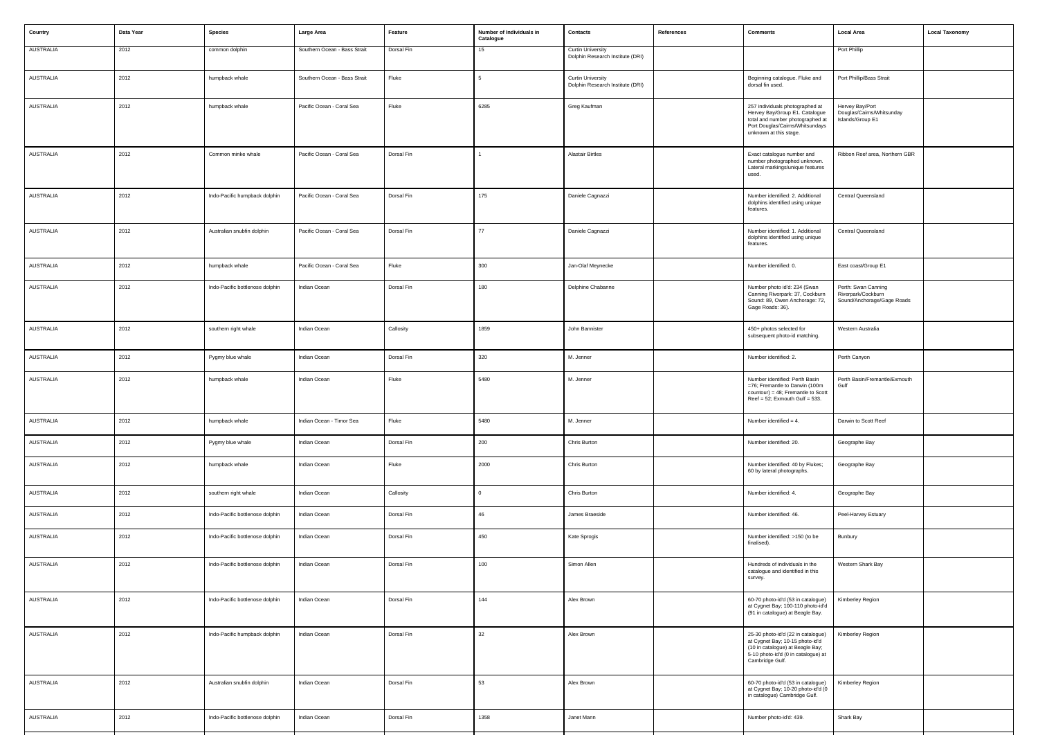| Country          | Data Year | <b>Species</b>                  | Large Area                   | Feature    | Number of Individuals in<br>Catalogue | Contacts                                                     | References | <b>Comments</b>                                                                                                                                                     | <b>Local Area</b>                                                       | <b>Local Taxonomy</b> |
|------------------|-----------|---------------------------------|------------------------------|------------|---------------------------------------|--------------------------------------------------------------|------------|---------------------------------------------------------------------------------------------------------------------------------------------------------------------|-------------------------------------------------------------------------|-----------------------|
| <b>AUSTRALIA</b> | 2012      | common dolphin                  | Southern Ocean - Bass Strait | Dorsal Fin | 15                                    | <b>Curtin University</b><br>Dolphin Research Institute (DRI) |            |                                                                                                                                                                     | Port Phillip                                                            |                       |
| AUSTRALIA        | 2012      | humpback whale                  | Southern Ocean - Bass Strait | Fluke      | 5                                     | <b>Curtin University</b><br>Dolphin Research Institute (DRI) |            | Beginning catalogue. Fluke and<br>dorsal fin used.                                                                                                                  | Port Phillip/Bass Strait                                                |                       |
| AUSTRALIA        | 2012      | humpback whale                  | Pacific Ocean - Coral Sea    | Fluke      | 6285                                  | Greg Kaufman                                                 |            | 257 individuals photographed at<br>Hervey Bay/Group E1. Catalogue<br>total and number photographed at<br>Port Douglas/Cairns/Whitsundays<br>unknown at this stage.  | Hervey Bay/Port<br>Douglas/Cairns/Whitsunday<br>Islands/Group E1        |                       |
| AUSTRALIA        | 2012      | Common minke whale              | Pacific Ocean - Coral Sea    | Dorsal Fin |                                       | <b>Alastair Birtles</b>                                      |            | Exact catalogue number and<br>number photographed unknown.<br>Lateral markings/unique features<br>used.                                                             | Ribbon Reef area, Northern GBR                                          |                       |
| AUSTRALIA        | 2012      | Indo-Pacific humpback dolphin   | Pacific Ocean - Coral Sea    | Dorsal Fin | 175                                   | Daniele Cagnazzi                                             |            | Number identified: 2. Additional<br>dolphins identified using unique<br>features.                                                                                   | Central Queensland                                                      |                       |
| AUSTRALIA        | 2012      | Australian snubfin dolphin      | Pacific Ocean - Coral Sea    | Dorsal Fin | 77                                    | Daniele Cagnazzi                                             |            | Number identified: 1. Additional<br>dolphins identified using unique<br>features.                                                                                   | Central Queensland                                                      |                       |
| AUSTRALIA        | 2012      | humpback whale                  | Pacific Ocean - Coral Sea    | Fluke      | 300                                   | Jan-Olaf Meynecke                                            |            | Number identified: 0.                                                                                                                                               | East coast/Group E1                                                     |                       |
| AUSTRALIA        | 2012      | Indo-Pacific bottlenose dolphin | Indian Ocean                 | Dorsal Fin | 180                                   | Delphine Chabanne                                            |            | Number photo id'd: 234 (Swan<br>Canning Riverpark: 37, Cockburn<br>Sound: 89, Owen Anchorage: 72,<br>Gage Roads: 36).                                               | Perth: Swan Canning<br>Riverpark/Cockburn<br>Sound/Anchorage/Gage Roads |                       |
| AUSTRALIA        | 2012      | southern right whale            | Indian Ocean                 | Callosity  | 1859                                  | John Bannister                                               |            | 450+ photos selected for<br>subsequent photo-id matching.                                                                                                           | Western Australia                                                       |                       |
| AUSTRALIA        | 2012      | Pygmy blue whale                | Indian Ocean                 | Dorsal Fin | 320                                   | M. Jenner                                                    |            | Number identified: 2.                                                                                                                                               | Perth Canyon                                                            |                       |
| AUSTRALIA        | 2012      | humpback whale                  | Indian Ocean                 | Fluke      | 5480                                  | M. Jenner                                                    |            | Number identified: Perth Basin<br>=76; Fremantle to Darwin (100m<br>countour) = 48; Fremantle to Scott<br>Reef = $52$ ; Exmouth Gulf = $533$ .                      | Perth Basin/Fremantle/Exmouth<br>Gulf                                   |                       |
| AUSTRALIA        | 2012      | humpback whale                  | Indian Ocean - Timor Sea     | Fluke      | 5480                                  | M. Jenner                                                    |            | Number identified = 4.                                                                                                                                              | Darwin to Scott Reef                                                    |                       |
| AUSTRALIA        | 2012      | Pygmy blue whale                | Indian Ocean                 | Dorsal Fin | 200                                   | Chris Burton                                                 |            | Number identified: 20.                                                                                                                                              | Geographe Bay                                                           |                       |
| AUSTRALIA        | 2012      | humpback whale                  | Indian Ocean                 | Fluke      | 2000                                  | Chris Burton                                                 |            | Number identified: 40 by Flukes;<br>60 by lateral photographs.                                                                                                      | Geographe Bay                                                           |                       |
| AUSTRALIA        | 2012      | southern right whale            | Indian Ocean                 | Callosity  | $\Omega$                              | Chris Burton                                                 |            | Number identified: 4.                                                                                                                                               | Geographe Bay                                                           |                       |
| AUSTRALIA        | 2012      | Indo-Pacific bottlenose dolphin | Indian Ocean                 | Dorsal Fin | 46                                    | James Braeside                                               |            | Number identified: 46.                                                                                                                                              | Peel-Harvey Estuary                                                     |                       |
| AUSTRALIA        | 2012      | Indo-Pacific bottlenose dolphin | Indian Ocean                 | Dorsal Fin | 450                                   | Kate Sprogis                                                 |            | Number identified: >150 (to be<br>finalised).                                                                                                                       | Bunbury                                                                 |                       |
| AUSTRALIA        | 2012      | Indo-Pacific bottlenose dolphin | Indian Ocean                 | Dorsal Fin | 100                                   | Simon Allen                                                  |            | Hundreds of individuals in the<br>catalogue and identified in this<br>survey.                                                                                       | Western Shark Bay                                                       |                       |
| AUSTRALIA        | 2012      | Indo-Pacific bottlenose dolphin | Indian Ocean                 | Dorsal Fin | 144                                   | Alex Brown                                                   |            | 60-70 photo-id'd (53 in catalogue)<br>at Cygnet Bay; 100-110 photo-id'd<br>(91 in catalogue) at Beagle Bay.                                                         | Kimberley Region                                                        |                       |
| AUSTRALIA        | 2012      | Indo-Pacific humpback dolphin   | Indian Ocean                 | Dorsal Fin | 32                                    | Alex Brown                                                   |            | 25-30 photo-id'd (22 in catalogue)<br>at Cygnet Bay; 10-15 photo-id'd<br>(10 in catalogue) at Beagle Bay;<br>5-10 photo-id'd (0 in catalogue) at<br>Cambridge Gulf. | Kimberley Region                                                        |                       |
| AUSTRALIA        | 2012      | Australian snubfin dolphin      | Indian Ocean                 | Dorsal Fin | 53                                    | Alex Brown                                                   |            | 60-70 photo-id'd (53 in catalogue)<br>at Cygnet Bay; 10-20 photo-id'd (0<br>in catalogue) Cambridge Gulf.                                                           | Kimberley Region                                                        |                       |
| AUSTRALIA        | 2012      | Indo-Pacific bottlenose dolphin | Indian Ocean                 | Dorsal Fin | 1358                                  | Janet Mann                                                   |            | Number photo-id'd: 439.                                                                                                                                             | Shark Bay                                                               |                       |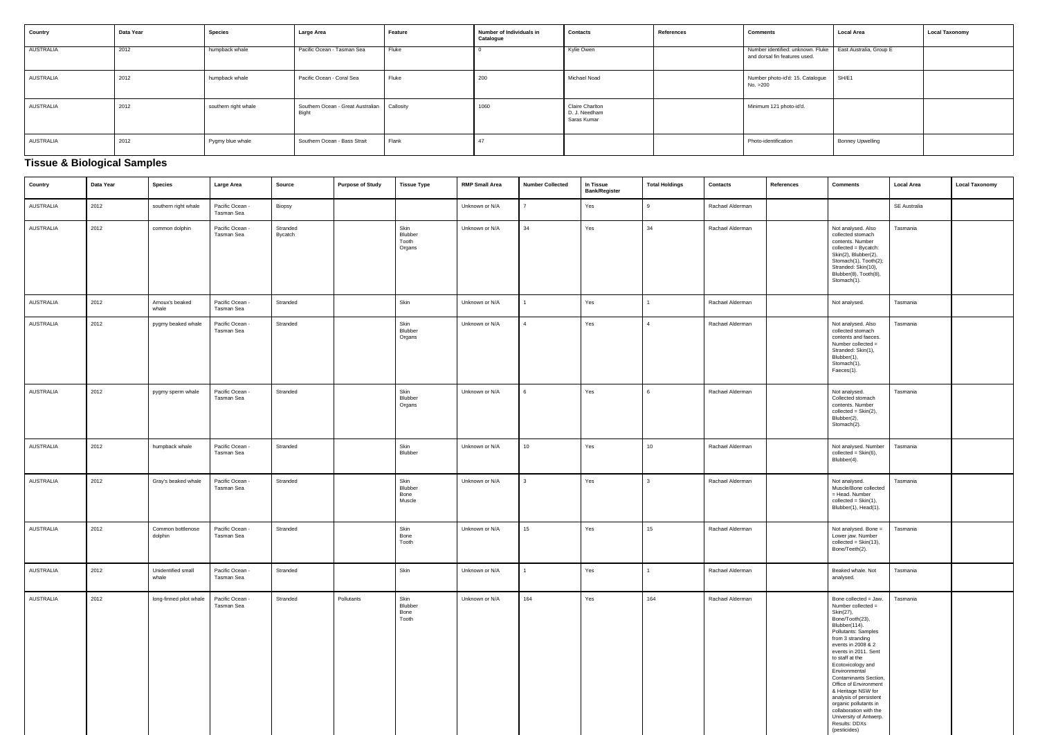| Country   | Data Year | <b>Species</b>       | Large Area                                                    | Feature | Number of Individuals in<br>Catalogue | <b>Contacts</b>                                 | References | <b>Comments</b>                                                    | <b>Local Area</b>       | <b>Local Taxonomy</b> |
|-----------|-----------|----------------------|---------------------------------------------------------------|---------|---------------------------------------|-------------------------------------------------|------------|--------------------------------------------------------------------|-------------------------|-----------------------|
| AUSTRALIA | 2012      | humpback whale       | Pacific Ocean - Tasman Sea                                    | Fluke   |                                       | Kylie Owen                                      |            | Number identified: unknown. Fluke<br>and dorsal fin features used. | East Australia, Group E |                       |
| AUSTRALIA | 2012      | humpback whale       | Pacific Ocean - Coral Sea                                     | Fluke   | 200                                   | Michael Noad                                    |            | Number photo-id'd: 15. Catalogue<br>No. >200                       | SH/E1                   |                       |
| AUSTRALIA | 2012      | southern right whale | Southern Ocean - Great Australian   Callosity<br><b>Bight</b> |         | 1060                                  | Claire Charlton<br>D. J. Needham<br>Saras Kumar |            | Minimum 121 photo-id'd.                                            |                         |                       |
| AUSTRALIA | 2012      | Pygmy blue whale     | Southern Ocean - Bass Strait                                  | Flank   |                                       |                                                 |            | Photo-identification                                               | <b>Bonney Upwelling</b> |                       |

# **Tissue & Biological Samples**

| Country          | Data Year | <b>Species</b>               | Large Area                    | Source              | <b>Purpose of Study</b> | <b>Tissue Type</b>                 | <b>RMP Small Area</b> | <b>Number Collected</b> | In Tissue<br><b>Bank/Register</b> | <b>Total Holdings</b> | <b>Contacts</b>  | References | <b>Comments</b>                                                                                                                                                                                                                                                                                                                                                                                                                                                | <b>Local Area</b> | <b>Local Taxonomy</b> |
|------------------|-----------|------------------------------|-------------------------------|---------------------|-------------------------|------------------------------------|-----------------------|-------------------------|-----------------------------------|-----------------------|------------------|------------|----------------------------------------------------------------------------------------------------------------------------------------------------------------------------------------------------------------------------------------------------------------------------------------------------------------------------------------------------------------------------------------------------------------------------------------------------------------|-------------------|-----------------------|
| AUSTRALIA        | 2012      | southern right whale         | Pacific Ocean -<br>Tasman Sea | Biopsy              |                         |                                    | Unknown or N/A        | $\overline{7}$          | Yes                               | 9                     | Rachael Alderman |            |                                                                                                                                                                                                                                                                                                                                                                                                                                                                | SE Australia      |                       |
| AUSTRALIA        | 2012      | common dolphin               | Pacific Ocean -<br>Tasman Sea | Stranded<br>Bycatch |                         | Skin<br>Blubber<br>Tooth<br>Organs | Unknown or N/A        | 34                      | Yes                               | 34                    | Rachael Alderman |            | Not analysed. Also<br>collected stomach<br>contents. Number<br>collected = Bycatch:<br>Skin(2), Blubber(2),<br>Stomach(1), Tooth(2);<br>Stranded: Skin(10),<br>Blubber(8), Tooth(8),<br>Stomach(1).                                                                                                                                                                                                                                                            | Tasmania          |                       |
| AUSTRALIA        | 2012      | Arnoux's beaked<br>whale     | Pacific Ocean -<br>Tasman Sea | Stranded            |                         | Skin                               | Unknown or N/A        |                         | Yes                               |                       | Rachael Alderman |            | Not analysed.                                                                                                                                                                                                                                                                                                                                                                                                                                                  | Tasmania          |                       |
| AUSTRALIA        | 2012      | pygmy beaked whale           | Pacific Ocean -<br>Tasman Sea | Stranded            |                         | Skin<br>Blubber<br>Organs          | Unknown or N/A        | $\overline{4}$          | Yes                               | $\overline{4}$        | Rachael Alderman |            | Not analysed. Also<br>collected stomach<br>contents and faeces.<br>Number collected =<br>Stranded: Skin(1),<br>Blubber(1),<br>Stomach(1),<br>Faeces(1).                                                                                                                                                                                                                                                                                                        | Tasmania          |                       |
| AUSTRALIA        | 2012      | pygmy sperm whale            | Pacific Ocean -<br>Tasman Sea | Stranded            |                         | Skin<br>Blubber<br>Organs          | Unknown or N/A        | $6\overline{6}$         | Yes                               | 6                     | Rachael Alderman |            | Not analysed.<br>Collected stomach<br>contents. Number<br>$collected = \text{Skin}(2),$<br>Blubber(2),<br>Stomach(2).                                                                                                                                                                                                                                                                                                                                          | Tasmania          |                       |
| AUSTRALIA        | 2012      | humpback whale               | Pacific Ocean -<br>Tasman Sea | Stranded            |                         | Skin<br>Blubber                    | Unknown or N/A        | 10                      | Yes                               | 10                    | Rachael Alderman |            | Not analysed. Number<br>$collected = \text{Skin}(6),$<br>Blubber(4).                                                                                                                                                                                                                                                                                                                                                                                           | Tasmania          |                       |
| <b>AUSTRALIA</b> | 2012      | Gray's beaked whale          | Pacific Ocean -<br>Tasman Sea | Stranded            |                         | Skin<br>Blubber<br>Bone<br>Muscle  | Unknown or N/A        | $\mathbf{3}$            | Yes                               | $\mathcal{R}$         | Rachael Alderman |            | Not analysed.<br>Muscle/Bone collected<br>= Head. Number<br>$collected = \text{Skin}(1),$<br>Blubber(1), Head(1).                                                                                                                                                                                                                                                                                                                                              | Tasmania          |                       |
| <b>AUSTRALIA</b> | 2012      | Common bottlenose<br>dolphin | Pacific Ocean -<br>Tasman Sea | Stranded            |                         | Skin<br>Bone<br>Tooth              | Unknown or N/A        | 15                      | Yes                               | 15                    | Rachael Alderman |            | Not analysed. Bone =<br>Lower jaw. Number<br>$collected = Skin(13),$<br>Bone/Teeth(2).                                                                                                                                                                                                                                                                                                                                                                         | Tasmania          |                       |
| AUSTRALIA        | 2012      | Unidentified small<br>whale  | Pacific Ocean -<br>Tasman Sea | Stranded            |                         | Skin                               | Unknown or N/A        | $\mathbf{1}$            | Yes                               |                       | Rachael Alderman |            | Beaked whale. Not<br>analysed.                                                                                                                                                                                                                                                                                                                                                                                                                                 | Tasmania          |                       |
| AUSTRALIA        | 2012      | long-finned pilot whale      | Pacific Ocean -<br>Tasman Sea | Stranded            | Pollutants              | Skin<br>Blubber<br>Bone<br>Tooth   | Unknown or N/A        | 164                     | Yes                               | 164                   | Rachael Alderman |            | Bone collected = Jaw.<br>Number collected =<br>Skin(27),<br>Bone/Tooth(23),<br>Blubber(114).<br>Pollutants: Samples<br>from 3 stranding<br>events in 2008 & 2<br>events in 2011. Sent<br>to staff at the<br>Ecotoxicology and<br>Environmental<br>Contaminants Section,<br>Office of Environment<br>& Heritage NSW for<br>analysis of persistent<br>organic pollutants in<br>collaboration with the<br>University of Antwerp.<br>Results: DDXs<br>(pesticides) | Tasmania          |                       |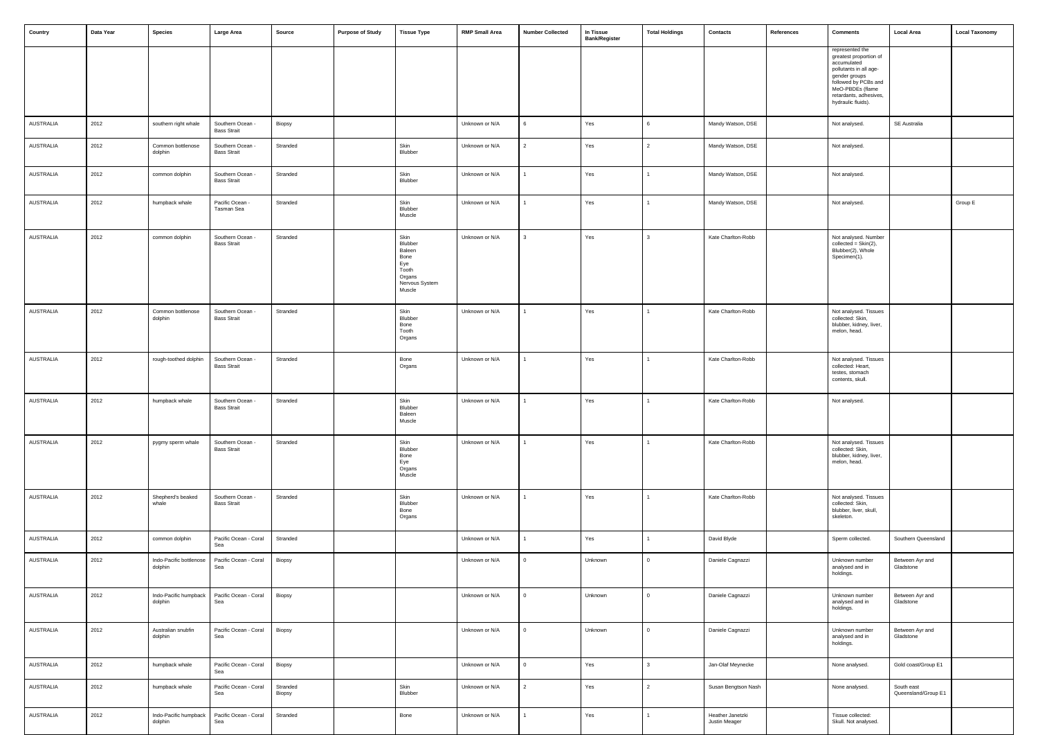| Country          | Data Year | <b>Species</b>                     | Large Area                             | Source             | <b>Purpose of Study</b> | <b>Tissue Type</b>                                                                      | <b>RMP Small Area</b> | <b>Number Collected</b> | In Tissue<br><b>Bank/Register</b> | <b>Total Holdings</b> | Contacts                          | References | <b>Comments</b>                                                                                                                                                                                 | <b>Local Area</b>                 | <b>Local Taxonomy</b> |
|------------------|-----------|------------------------------------|----------------------------------------|--------------------|-------------------------|-----------------------------------------------------------------------------------------|-----------------------|-------------------------|-----------------------------------|-----------------------|-----------------------------------|------------|-------------------------------------------------------------------------------------------------------------------------------------------------------------------------------------------------|-----------------------------------|-----------------------|
|                  |           |                                    |                                        |                    |                         |                                                                                         |                       |                         |                                   |                       |                                   |            | represented the<br>greatest proportion of<br>accumulated<br>pollutants in all age-<br>gender groups<br>followed by PCBs and<br>MeO-PBDEs (flame<br>retardants, adhesives,<br>hydraulic fluids). |                                   |                       |
| <b>AUSTRALIA</b> | 2012      | southern right whale               | Southern Ocean -<br><b>Bass Strait</b> | Biopsy             |                         |                                                                                         | Unknown or N/A        | 6                       | Yes                               | $\epsilon$            | Mandy Watson, DSE                 |            | Not analysed.                                                                                                                                                                                   | SE Australia                      |                       |
| <b>AUSTRALIA</b> | 2012      | Common bottlenose<br>dolphin       | Southern Ocean -<br><b>Bass Strait</b> | Stranded           |                         | Skin<br>Blubber                                                                         | Unknown or N/A        | $\mathcal{P}$           | Yes                               | $\mathcal{P}$         | Mandy Watson, DSE                 |            | Not analysed.                                                                                                                                                                                   |                                   |                       |
| <b>AUSTRALIA</b> | 2012      | common dolphin                     | Southern Ocean -<br><b>Bass Strait</b> | Stranded           |                         | Skin<br>Blubber                                                                         | Unknown or N/A        |                         | Yes                               |                       | Mandy Watson, DSE                 |            | Not analysed.                                                                                                                                                                                   |                                   |                       |
| <b>AUSTRALIA</b> | 2012      | humpback whale                     | Pacific Ocean -<br>Tasman Sea          | Stranded           |                         | Skin<br>Blubber<br>Muscle                                                               | Unknown or N/A        |                         | Yes                               |                       | Mandy Watson, DSE                 |            | Not analysed.                                                                                                                                                                                   |                                   | Group E               |
| <b>AUSTRALIA</b> | 2012      | common dolphin                     | Southern Ocean -<br><b>Bass Strait</b> | Stranded           |                         | Skin<br>Blubber<br>Baleen<br>Bone<br>Eye<br>Tooth<br>Organs<br>Nervous System<br>Muscle | Unknown or N/A        | 3                       | Yes                               | $\mathbf{a}$          | Kate Charlton-Robb                |            | Not analysed. Number<br>$collected = \text{Skin}(2),$<br>Blubber(2), Whole<br>Specimen(1).                                                                                                      |                                   |                       |
| AUSTRALIA        | 2012      | Common bottlenose<br>dolphin       | Southern Ocean -<br><b>Bass Strait</b> | Stranded           |                         | Skin<br>Blubber<br>Bone<br>Tooth<br>Organs                                              | Unknown or N/A        |                         | Yes                               |                       | Kate Charlton-Robb                |            | Not analysed. Tissues<br>collected: Skin,<br>blubber, kidney, liver,<br>melon, head.                                                                                                            |                                   |                       |
| <b>AUSTRALIA</b> | 2012      | rough-toothed dolphin              | Southern Ocean -<br><b>Bass Strait</b> | Stranded           |                         | Bone<br>Organs                                                                          | Unknown or N/A        |                         | Yes                               |                       | Kate Charlton-Robb                |            | Not analysed. Tissues<br>collected: Heart,<br>testes, stomach<br>contents, skull.                                                                                                               |                                   |                       |
| AUSTRALIA        | 2012      | humpback whale                     | Southern Ocean -<br><b>Bass Strait</b> | Stranded           |                         | Skin<br>Blubber<br>Baleen<br>Muscle                                                     | Unknown or N/A        |                         | Yes                               |                       | Kate Charlton-Robb                |            | Not analysed.                                                                                                                                                                                   |                                   |                       |
| AUSTRALIA        | 2012      | pygmy sperm whale                  | Southern Ocean -<br><b>Bass Strait</b> | Stranded           |                         | Skin<br>Blubber<br>Bone<br>Eye<br>Organs<br>Muscle                                      | Unknown or N/A        |                         | Yes                               |                       | Kate Charlton-Robb                |            | Not analysed. Tissues<br>collected: Skin,<br>blubber, kidney, liver,<br>melon, head.                                                                                                            |                                   |                       |
| AUSTRALIA        | 2012      | Shepherd's beaked<br>whale         | Southern Ocean -<br><b>Bass Strait</b> | Stranded           |                         | Skin<br>Blubber<br>Bone<br>Organs                                                       | Unknown or N/A        |                         | Yes                               |                       | Kate Charlton-Robb                |            | Not analysed. Tissues<br>collected: Skin,<br>blubber, liver, skull,<br>skeleton.                                                                                                                |                                   |                       |
| <b>AUSTRALIA</b> | 2012      | common dolphin                     | Pacific Ocean - Coral<br>Sea           | Stranded           |                         |                                                                                         | Unknown or N/A        |                         | Yes                               |                       | David Blyde                       |            | Sperm collected.                                                                                                                                                                                | Southern Queensland               |                       |
| <b>AUSTRALIA</b> | 2012      | Indo-Pacific bottlenose<br>dolphin | Pacific Ocean - Coral<br>Sea           | Biopsy             |                         |                                                                                         | Unknown or N/A        | $\Omega$                | Unknown                           | $\Omega$              | Daniele Cagnazzi                  |            | Unknown number<br>analysed and in<br>holdings.                                                                                                                                                  | Between Ayr and<br>Gladstone      |                       |
| <b>AUSTRALIA</b> | 2012      | Indo-Pacific humpback<br>dolphin   | Pacific Ocean - Coral<br>Sea           | Biopsy             |                         |                                                                                         | Unknown or N/A        | $\Omega$                | Unknown                           | $\Omega$              | Daniele Cagnazzi                  |            | Unknown number<br>analysed and in<br>holdings.                                                                                                                                                  | Between Ayr and<br>Gladstone      |                       |
| <b>AUSTRALIA</b> | 2012      | Australian snubfin<br>dolphin      | Pacific Ocean - Coral<br>Sea           | Biopsy             |                         |                                                                                         | Unknown or N/A        | $\overline{0}$          | Unknown                           | $\Omega$              | Daniele Cagnazzi                  |            | Unknown number<br>analysed and in<br>holdings.                                                                                                                                                  | Between Ayr and<br>Gladstone      |                       |
| AUSTRALIA        | 2012      | humpback whale                     | Pacific Ocean - Coral<br>Sea           | Biopsy             |                         |                                                                                         | Unknown or N/A        | $\mathbf{0}$            | Yes                               | $\mathcal{R}$         | Jan-Olaf Meynecke                 |            | None analysed.                                                                                                                                                                                  | Gold coast/Group E1               |                       |
| <b>AUSTRALIA</b> | 2012      | humpback whale                     | Pacific Ocean - Coral<br>Sea           | Stranded<br>Biopsy |                         | Skin<br>Blubber                                                                         | Unknown or N/A        | $\overline{2}$          | Yes                               | $\overline{2}$        | Susan Bengtson Nash               |            | None analysed.                                                                                                                                                                                  | South east<br>Queensland/Group E1 |                       |
| AUSTRALIA        | 2012      | Indo-Pacific humpback<br>dolphin   | Pacific Ocean - Coral<br>Sea           | Stranded           |                         | Bone                                                                                    | Unknown or N/A        |                         | Yes                               |                       | Heather Janetzki<br>Justin Meager |            | Tissue collected:<br>Skull. Not analysed.                                                                                                                                                       |                                   |                       |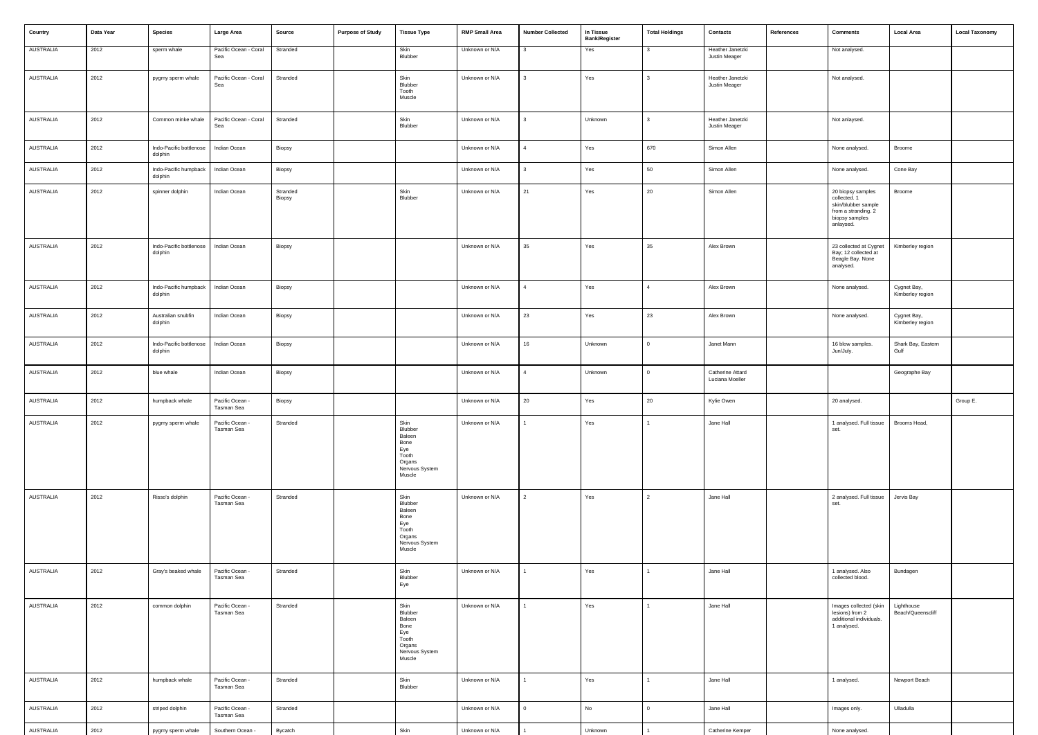| Country          | Data Year | <b>Species</b>                     | Large Area                    | Source             | <b>Purpose of Study</b> | <b>Tissue Type</b>                                                                      | <b>RMP Small Area</b> | <b>Number Collected</b> | In Tissue<br><b>Bank/Register</b> | <b>Total Holdings</b> | Contacts                            | References | <b>Comments</b>                                                                                                | <b>Local Area</b>               | <b>Local Taxonomy</b> |
|------------------|-----------|------------------------------------|-------------------------------|--------------------|-------------------------|-----------------------------------------------------------------------------------------|-----------------------|-------------------------|-----------------------------------|-----------------------|-------------------------------------|------------|----------------------------------------------------------------------------------------------------------------|---------------------------------|-----------------------|
| <b>AUSTRALIA</b> | 2012      | sperm whale                        | Pacific Ocean - Coral<br>Sea  | Stranded           |                         | Skin<br>Blubber                                                                         | Unknown or N/A        | 3                       | Yes                               | <b>3</b>              | Heather Janetzki<br>Justin Meager   |            | Not analysed.                                                                                                  |                                 |                       |
| AUSTRALIA        | 2012      | pygmy sperm whale                  | Pacific Ocean - Coral<br>Sea  | Stranded           |                         | Skin<br>Blubber<br>Tooth<br>Muscle                                                      | Unknown or N/A        |                         | Yes                               | $\mathbf{3}$          | Heather Janetzki<br>Justin Meager   |            | Not analysed.                                                                                                  |                                 |                       |
| <b>AUSTRALIA</b> | 2012      | Common minke whale                 | Pacific Ocean - Coral<br>Sea  | Stranded           |                         | Skin<br>Blubber                                                                         | Unknown or N/A        | 3                       | Unknown                           | $\mathbf{3}$          | Heather Janetzki<br>Justin Meager   |            | Not anlaysed.                                                                                                  |                                 |                       |
| AUSTRALIA        | 2012      | Indo-Pacific bottlenose<br>dolphin | Indian Ocean                  | Biopsy             |                         |                                                                                         | Unknown or N/A        | 4                       | Yes                               | 670                   | Simon Allen                         |            | None analysed.                                                                                                 | Broome                          |                       |
| AUSTRALIA        | 2012      | Indo-Pacific humpback<br>dolphin   | Indian Ocean                  | Biopsy             |                         |                                                                                         | Unknown or N/A        |                         | Yes                               | 50                    | Simon Allen                         |            | None analysed.                                                                                                 | Cone Bay                        |                       |
| AUSTRALIA        | 2012      | spinner dolphin                    | Indian Ocean                  | Stranded<br>Biopsy |                         | Skin<br>Blubber                                                                         | Unknown or N/A        | 21                      | Yes                               | 20                    | Simon Allen                         |            | 20 biopsy samples<br>collected. 1<br>skin/blubber sample<br>from a stranding. 2<br>biopsy samples<br>anlaysed. | Broome                          |                       |
| AUSTRALIA        | 2012      | Indo-Pacific bottlenose<br>dolphin | Indian Ocean                  | Biopsy             |                         |                                                                                         | Unknown or N/A        | 35                      | Yes                               | 35                    | Alex Brown                          |            | 23 collected at Cygnet<br>Bay; 12 collected at<br>Beagle Bay. None<br>analysed.                                | Kimberley region                |                       |
| AUSTRALIA        | 2012      | Indo-Pacific humpback<br>dolphin   | Indian Ocean                  | Biopsy             |                         |                                                                                         | Unknown or N/A        | $\mathbf{\Delta}$       | Yes                               | $\mathbf{A}$          | Alex Brown                          |            | None analysed.                                                                                                 | Cygnet Bay,<br>Kimberley region |                       |
| AUSTRALIA        | 2012      | Australian snubfin<br>dolphin      | Indian Ocean                  | Biopsy             |                         |                                                                                         | Unknown or N/A        | 23                      | Yes                               | 23                    | Alex Brown                          |            | None analysed.                                                                                                 | Cygnet Bay,<br>Kimberley region |                       |
| <b>AUSTRALIA</b> | 2012      | Indo-Pacific bottlenose<br>dolphin | Indian Ocean                  | Biopsy             |                         |                                                                                         | Unknown or N/A        | 16                      | Unknown                           | $\Omega$              | Janet Mann                          |            | 16 blow samples.<br>Jun/July.                                                                                  | Shark Bay, Eastern<br>Gulf      |                       |
| AUSTRALIA        | 2012      | blue whale                         | Indian Ocean                  | Biopsy             |                         |                                                                                         | Unknown or N/A        | 4                       | Unknown                           | $\Omega$              | Catherine Attard<br>Luciana Moeller |            |                                                                                                                | Geographe Bay                   |                       |
| AUSTRALIA        | 2012      | humpback whale                     | Pacific Ocean -<br>Tasman Sea | Biopsy             |                         |                                                                                         | Unknown or N/A        | 20                      | Yes                               | 20                    | Kylie Owen                          |            | 20 analysed.                                                                                                   |                                 | Group E.              |
| AUSTRALIA        | 2012      | pygmy sperm whale                  | Pacific Ocean -<br>Tasman Sea | Stranded           |                         | Skin<br>Blubber<br>Baleen<br>Bone<br>Eye<br>Tooth<br>Organs<br>Nervous System<br>Muscle | Unknown or N/A        |                         | Yes                               |                       | Jane Hall                           |            | 1 analysed. Full tissue<br>set.                                                                                | Brooms Head,                    |                       |
| AUSTRALIA        | 2012      | Risso's dolphin                    | Pacific Ocean -<br>Tasman Sea | Stranded           |                         | Skin<br>Blubber<br>Baleen<br>Bone<br>Eye<br>Tooth<br>Organs<br>Nervous System<br>Muscle | Unknown or N/A        | $\overline{2}$          | Yes                               | $\overline{2}$        | Jane Hall                           |            | 2 analysed. Full tissue<br>set.                                                                                | Jervis Bay                      |                       |
| AUSTRALIA        | 2012      | Gray's beaked whale                | Pacific Ocean -<br>Tasman Sea | Stranded           |                         | Skin<br>Blubber<br>Eye                                                                  | Unknown or N/A        |                         | Yes                               |                       | Jane Hall                           |            | 1 analysed. Also<br>collected blood.                                                                           | Bundagen                        |                       |
| AUSTRALIA        | 2012      | common dolphin                     | Pacific Ocean -<br>Tasman Sea | Stranded           |                         | Skin<br>Blubber<br>Baleen<br>Bone<br>Eye<br>Tooth<br>Organs<br>Nervous System<br>Muscle | Unknown or N/A        |                         | Yes                               | $\overline{1}$        | Jane Hall                           |            | Images collected (skin<br>lesions) from 2<br>additional individuals.<br>1 analysed.                            | Lighthouse<br>Beach/Queenscliff |                       |
| AUSTRALIA        | 2012      | humpback whale                     | Pacific Ocean -<br>Tasman Sea | Stranded           |                         | Skin<br>Blubber                                                                         | Unknown or N/A        |                         | Yes                               | $\overline{1}$        | Jane Hall                           |            | 1 analysed.                                                                                                    | Newport Beach                   |                       |
| AUSTRALIA        | 2012      | striped dolphin                    | Pacific Ocean -<br>Tasman Sea | Stranded           |                         |                                                                                         | Unknown or N/A        | 0                       | No                                | $\Omega$              | Jane Hall                           |            | Images only.                                                                                                   | Ulladulla                       |                       |
| AUSTRALIA        | 2012      | pygmy sperm whale                  | Southern Ocean -              | Bycatch            |                         | Skin                                                                                    | Unknown or N/A        |                         | Unknown                           |                       | Catherine Kemper                    |            | None analysed.                                                                                                 |                                 |                       |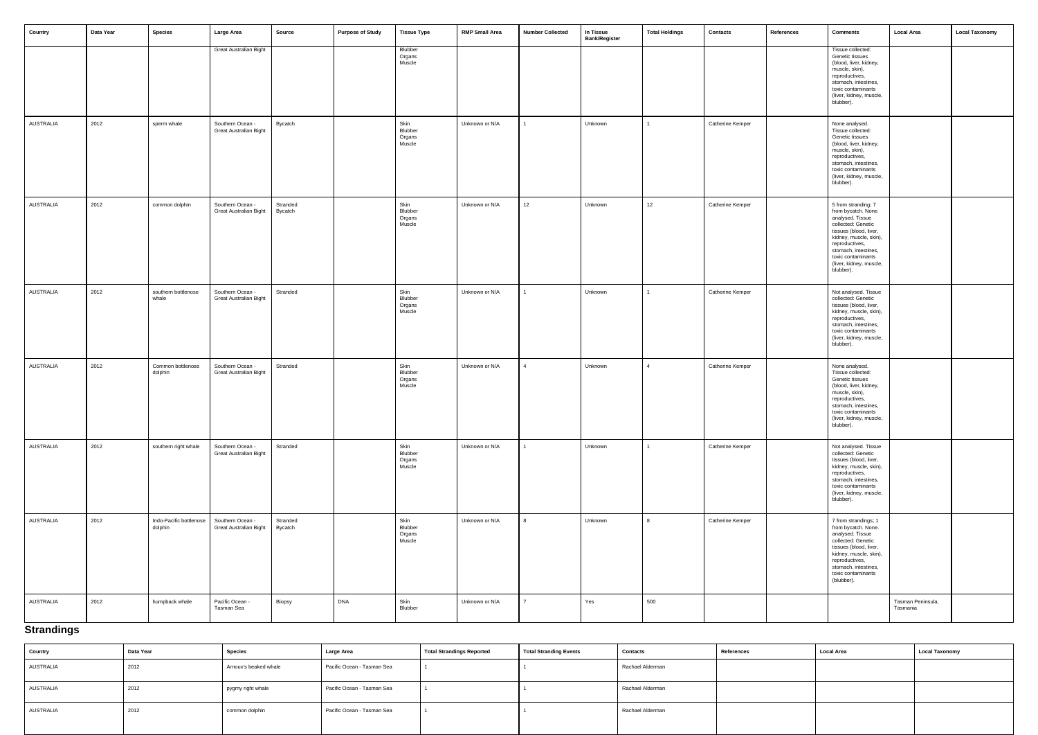| Country   | Data Year | <b>Species</b>                     | Large Area                                        | Source              | <b>Purpose of Study</b> | <b>Tissue Type</b>                  | <b>RMP Small Area</b> | <b>Number Collected</b> | In Tissue<br><b>Bank/Register</b> | <b>Total Holdings</b> | Contacts         | References | <b>Comments</b>                                                                                                                                                                                                                                 | Local Area                    | <b>Local Taxonomy</b> |
|-----------|-----------|------------------------------------|---------------------------------------------------|---------------------|-------------------------|-------------------------------------|-----------------------|-------------------------|-----------------------------------|-----------------------|------------------|------------|-------------------------------------------------------------------------------------------------------------------------------------------------------------------------------------------------------------------------------------------------|-------------------------------|-----------------------|
|           |           |                                    | <b>Great Australian Bight</b>                     |                     |                         | Blubber<br>Organs<br>Muscle         |                       |                         |                                   |                       |                  |            | Tissue collected:<br>Genetic tissues<br>(blood, liver, kidney,<br>muscle, skin),<br>reproductives,<br>stomach, intestines,<br>toxic contaminants<br>(liver, kidney, muscle,<br>blubber).                                                        |                               |                       |
| AUSTRALIA | 2012      | sperm whale                        | Southern Ocean -<br><b>Great Australian Bight</b> | <b>Bycatch</b>      |                         | Skin<br>Blubber<br>Organs<br>Muscle | Unknown or N/A        |                         | Unknown                           |                       | Catherine Kemper |            | None analysed.<br>Tissue collected:<br>Genetic tissues<br>(blood, liver, kidney,<br>muscle, skin),<br>reproductives,<br>stomach, intestines,<br>toxic contaminants<br>(liver, kidney, muscle,<br>blubber).                                      |                               |                       |
| AUSTRALIA | 2012      | common dolphin                     | Southern Ocean -<br>Great Australian Bight        | Stranded<br>Bycatch |                         | Skin<br>Blubber<br>Organs<br>Muscle | Unknown or N/A        | 12                      | Unknown                           | 12                    | Catherine Kemper |            | 5 from stranding; 7<br>from bycatch. None<br>analysed. Tissue<br>collected: Genetic<br>tissues (blood, liver,<br>kidney, muscle, skin),<br>reproductives,<br>stomach, intestines,<br>toxic contaminants<br>(liver, kidney, muscle,<br>blubber). |                               |                       |
| AUSTRALIA | 2012      | southern bottlenose<br>whale       | Southern Ocean -<br>Great Australian Bight        | Stranded            |                         | Skin<br>Blubber<br>Organs<br>Muscle | Unknown or N/A        |                         | Unknown                           |                       | Catherine Kemper |            | Not analysed. Tissue<br>collected: Genetic<br>tissues (blood, liver,<br>kidney, muscle, skin),<br>reproductives,<br>stomach, intestines,<br>toxic contaminants<br>(liver, kidney, muscle,<br>blubber).                                          |                               |                       |
| AUSTRALIA | 2012      | Common bottlenose<br>dolphin       | Southern Ocean -<br>Great Australian Bight        | Stranded            |                         | Skin<br>Blubber<br>Organs<br>Muscle | Unknown or N/A        | $\overline{4}$          | Unknown                           | $\Delta$              | Catherine Kemper |            | None analysed.<br>Tissue collected:<br>Genetic tissues<br>(blood, liver, kidney,<br>muscle, skin),<br>reproductives,<br>stomach, intestines,<br>toxic contaminants<br>(liver, kidney, muscle,<br>blubber).                                      |                               |                       |
| AUSTRALIA | 2012      | southern right whale               | Southern Ocean -<br><b>Great Australian Bight</b> | Stranded            |                         | Skin<br>Blubber<br>Organs<br>Muscle | Unknown or N/A        | 1                       | Unknown                           | 1                     | Catherine Kemper |            | Not analysed. Tissue<br>collected: Genetic<br>tissues (blood, liver,<br>kidney, muscle, skin),<br>reproductives,<br>stomach, intestines,<br>toxic contaminants<br>(liver, kidney, muscle,<br>blubber).                                          |                               |                       |
| AUSTRALIA | 2012      | Indo-Pacific bottlenose<br>dolphin | Southern Ocean -<br><b>Great Australian Bight</b> | Stranded<br>Bycatch |                         | Skin<br>Blubber<br>Organs<br>Muscle | Unknown or N/A        | 8                       | Unknown                           | 8                     | Catherine Kemper |            | 7 from strandings; 1<br>from bycatch. None.<br>analysed. Tissue<br>collected: Genetic<br>tissues (blood, liver,<br>kidney, muscle, skin),<br>reproductives,<br>stomach, intestines,<br>toxic contaminants<br>(blubber).                         |                               |                       |
| AUSTRALIA | 2012      | humpback whale                     | Pacific Ocean -<br>Tasman Sea                     | Biopsy              | <b>DNA</b>              | Skin<br>Blubber                     | Unknown or N/A        | $7^{\circ}$             | Yes                               | 500                   |                  |            |                                                                                                                                                                                                                                                 | Tasman Peninsula,<br>Tasmania |                       |

# **Strandings**

| <b>Country</b>   | Data Year | <b>Species</b>        | <b>Large Area</b>          | <b>Total Strandings Reported</b> | <b>Total Stranding Events</b> | Contacts         | References | <b>Local Area</b> | <b>Local Taxonomy</b> |
|------------------|-----------|-----------------------|----------------------------|----------------------------------|-------------------------------|------------------|------------|-------------------|-----------------------|
| AUSTRALIA        | 2012      | Arnoux's beaked whale | Pacific Ocean - Tasman Sea |                                  |                               | Rachael Alderman |            |                   |                       |
| AUSTRALIA        | 2012      | pygmy right whale     | Pacific Ocean - Tasman Sea |                                  |                               | Rachael Alderman |            |                   |                       |
| <b>AUSTRALIA</b> | 2012      | common dolphin        | Pacific Ocean - Tasman Sea |                                  |                               | Rachael Alderman |            |                   |                       |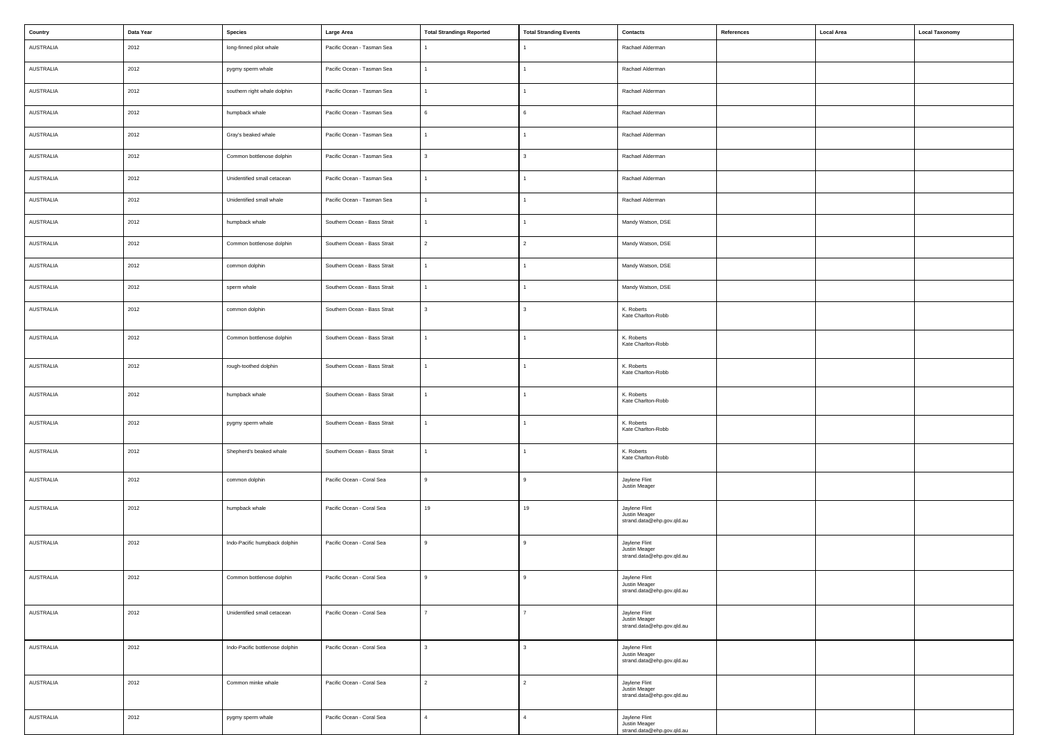| Country          | Data Year | <b>Species</b>                  | Large Area                   | <b>Total Strandings Reported</b> | <b>Total Stranding Events</b> | <b>Contacts</b>                                              | References | <b>Local Area</b> | <b>Local Taxonomy</b> |
|------------------|-----------|---------------------------------|------------------------------|----------------------------------|-------------------------------|--------------------------------------------------------------|------------|-------------------|-----------------------|
| AUSTRALIA        | 2012      | long-finned pilot whale         | Pacific Ocean - Tasman Sea   |                                  |                               | Rachael Alderman                                             |            |                   |                       |
| AUSTRALIA        | 2012      | pygmy sperm whale               | Pacific Ocean - Tasman Sea   | $\mathbf{1}$                     |                               | Rachael Alderman                                             |            |                   |                       |
| AUSTRALIA        | 2012      | southern right whale dolphin    | Pacific Ocean - Tasman Sea   | $\mathbf{1}$                     |                               | Rachael Alderman                                             |            |                   |                       |
| AUSTRALIA        | 2012      | humpback whale                  | Pacific Ocean - Tasman Sea   | 6                                | 6                             | Rachael Alderman                                             |            |                   |                       |
| AUSTRALIA        | 2012      | Gray's beaked whale             | Pacific Ocean - Tasman Sea   | $\mathbf{1}$                     |                               | Rachael Alderman                                             |            |                   |                       |
| AUSTRALIA        | 2012      | Common bottlenose dolphin       | Pacific Ocean - Tasman Sea   | $\mathbf{3}$                     | 3                             | Rachael Alderman                                             |            |                   |                       |
| AUSTRALIA        | 2012      | Unidentified small cetacean     | Pacific Ocean - Tasman Sea   | $\overline{1}$                   |                               | Rachael Alderman                                             |            |                   |                       |
| AUSTRALIA        | 2012      | Unidentified small whale        | Pacific Ocean - Tasman Sea   | $\mathbf{1}$                     |                               | Rachael Alderman                                             |            |                   |                       |
| AUSTRALIA        | 2012      | humpback whale                  | Southern Ocean - Bass Strait | $\mathbf{1}$                     |                               | Mandy Watson, DSE                                            |            |                   |                       |
| AUSTRALIA        | 2012      | Common bottlenose dolphin       | Southern Ocean - Bass Strait | $\overline{2}$                   | 2                             | Mandy Watson, DSE                                            |            |                   |                       |
| AUSTRALIA        | 2012      | common dolphin                  | Southern Ocean - Bass Strait | $\mathbf{1}$                     |                               | Mandy Watson, DSE                                            |            |                   |                       |
| AUSTRALIA        | 2012      | sperm whale                     | Southern Ocean - Bass Strait | $\mathbf{1}$                     |                               | Mandy Watson, DSE                                            |            |                   |                       |
| AUSTRALIA        | 2012      | common dolphin                  | Southern Ocean - Bass Strait | 3                                | 3                             | K. Roberts<br>Kate Charlton-Robb                             |            |                   |                       |
| AUSTRALIA        | 2012      | Common bottlenose dolphin       | Southern Ocean - Bass Strait | $\mathbf{1}$                     |                               | K. Roberts<br>Kate Charlton-Robb                             |            |                   |                       |
| AUSTRALIA        | 2012      | rough-toothed dolphin           | Southern Ocean - Bass Strait | $\mathbf{1}$                     |                               | K. Roberts<br>Kate Charlton-Robb                             |            |                   |                       |
| AUSTRALIA        | 2012      | humpback whale                  | Southern Ocean - Bass Strait | $\mathbf{1}$                     |                               | K. Roberts<br>Kate Charlton-Robb                             |            |                   |                       |
| AUSTRALIA        | 2012      | pygmy sperm whale               | Southern Ocean - Bass Strait | 1                                |                               | K. Roberts<br>Kate Charlton-Robb                             |            |                   |                       |
| AUSTRALIA        | 2012      | Shepherd's beaked whale         | Southern Ocean - Bass Strait | $\mathbf{1}$                     |                               | K. Roberts<br>Kate Charlton-Robb                             |            |                   |                       |
| AUSTRALIA        | 2012      | common dolphin                  | Pacific Ocean - Coral Sea    | 9                                | 9                             | Jaylene Flint<br>Justin Meager                               |            |                   |                       |
| AUSTRALIA        | 2012      | humpback whale                  | Pacific Ocean - Coral Sea    | 19                               | 19                            | Jaylene Flint<br>Justin Meager<br>strand.data@ehp.gov.qld.au |            |                   |                       |
| AUSTRALIA        | 2012      | Indo-Pacific humpback dolphin   | Pacific Ocean - Coral Sea    | $\mathbf{q}$                     | 9                             | Jaylene Flint<br>Justin Meager<br>strand.data@ehp.gov.qld.au |            |                   |                       |
| AUSTRALIA        | 2012      | Common bottlenose dolphin       | Pacific Ocean - Coral Sea    | $\mathsf{q}$                     | $\mathbf{Q}$                  | Jaylene Flint<br>Justin Meager<br>strand.data@ehp.gov.qld.au |            |                   |                       |
| AUSTRALIA        | 2012      | Unidentified small cetacean     | Pacific Ocean - Coral Sea    | $\overline{7}$                   |                               | Jaylene Flint<br>Justin Meager<br>strand.data@ehp.gov.qld.au |            |                   |                       |
| AUSTRALIA        | 2012      | Indo-Pacific bottlenose dolphin | Pacific Ocean - Coral Sea    | 3                                |                               | Jaylene Flint<br>Justin Meager<br>strand.data@ehp.gov.qld.au |            |                   |                       |
| <b>AUSTRALIA</b> | 2012      | Common minke whale              | Pacific Ocean - Coral Sea    | $\overline{2}$                   | $\overline{c}$                | Jaylene Flint<br>Justin Meager<br>strand.data@ehp.gov.qld.au |            |                   |                       |
| AUSTRALIA        | 2012      | pygmy sperm whale               | Pacific Ocean - Coral Sea    | $\overline{4}$                   |                               | Jaylene Flint<br>Justin Meager<br>strand.data@ehp.gov.qld.au |            |                   |                       |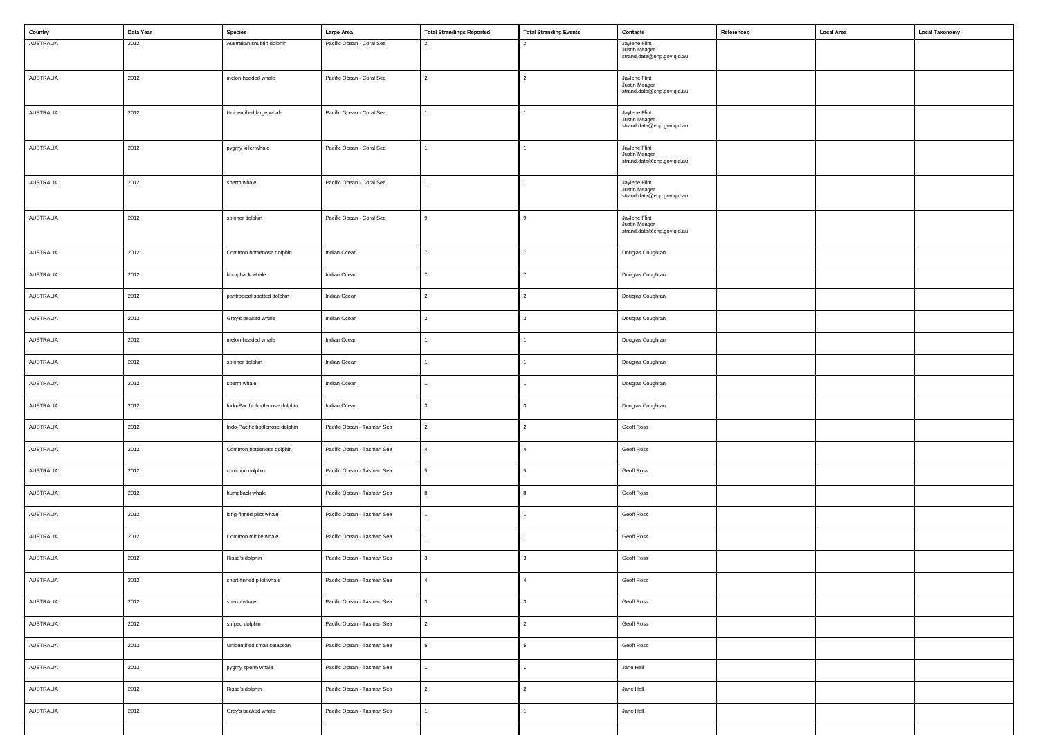| Country          | Data Year | <b>Species</b>                  | Large Area                 | <b>Total Strandings Reported</b> | <b>Total Stranding Events</b> | Contacts                                    | References | <b>Local Area</b> | <b>Local Taxonomy</b> |
|------------------|-----------|---------------------------------|----------------------------|----------------------------------|-------------------------------|---------------------------------------------|------------|-------------------|-----------------------|
| AUSTRALIA        | 2012      | Australian snubfin dolphin      | Pacific Ocean - Coral Sea  | 2                                |                               | Jaylene Flint<br>Justin Meager              |            |                   |                       |
|                  |           |                                 |                            |                                  |                               | strand.data@ehp.gov.qld.au                  |            |                   |                       |
| AUSTRALIA        | 2012      | melon-headed whale              | Pacific Ocean - Coral Sea  | 2                                | 2                             | Jaylene Flint                               |            |                   |                       |
|                  |           |                                 |                            |                                  |                               | Justin Meager<br>strand.data@ehp.gov.qld.au |            |                   |                       |
|                  |           |                                 |                            |                                  |                               |                                             |            |                   |                       |
| <b>AUSTRALIA</b> | 2012      | Unidentified large whale        | Pacific Ocean - Coral Sea  | $\mathbf{1}$                     |                               | Jaylene Flint<br>Justin Meager              |            |                   |                       |
|                  |           |                                 |                            |                                  |                               | strand.data@ehp.gov.qld.au                  |            |                   |                       |
|                  |           |                                 |                            |                                  |                               |                                             |            |                   |                       |
| AUSTRALIA        | 2012      | pygmy killer whale              | Pacific Ocean - Coral Sea  |                                  |                               | Jaylene Flint<br>Justin Meager              |            |                   |                       |
|                  |           |                                 |                            |                                  |                               | strand.data@ehp.gov.qld.au                  |            |                   |                       |
| <b>AUSTRALIA</b> | 2012      | sperm whale                     | Pacific Ocean - Coral Sea  |                                  |                               | Jaylene Flint                               |            |                   |                       |
|                  |           |                                 |                            |                                  |                               | Justin Meager<br>strand.data@ehp.gov.qld.au |            |                   |                       |
|                  |           |                                 |                            |                                  |                               |                                             |            |                   |                       |
| <b>AUSTRALIA</b> | 2012      | spinner dolphin                 | Pacific Ocean - Coral Sea  | $\mathsf{q}$                     | 9                             | Jaylene Flint<br>Justin Meager              |            |                   |                       |
|                  |           |                                 |                            |                                  |                               | strand.data@ehp.gov.qld.au                  |            |                   |                       |
| AUSTRALIA        | 2012      | Common bottlenose dolphin       | Indian Ocean               | $\overline{7}$                   |                               | Douglas Coughran                            |            |                   |                       |
|                  |           |                                 |                            |                                  |                               |                                             |            |                   |                       |
| AUSTRALIA        | 2012      | humpback whale                  | Indian Ocean               | $\overline{7}$                   |                               | Douglas Coughran                            |            |                   |                       |
|                  |           |                                 |                            |                                  |                               |                                             |            |                   |                       |
| AUSTRALIA        | 2012      | pantropical spotted dolphin     | Indian Ocean               | 2                                |                               | Douglas Coughran                            |            |                   |                       |
| <b>AUSTRALIA</b> | 2012      | Gray's beaked whale             | Indian Ocean               | $\overline{2}$                   | 2                             | Douglas Coughran                            |            |                   |                       |
|                  |           |                                 |                            |                                  |                               |                                             |            |                   |                       |
| AUSTRALIA        | 2012      | melon-headed whale              | Indian Ocean               |                                  |                               | Douglas Coughran                            |            |                   |                       |
| AUSTRALIA        | 2012      | spinner dolphin                 | Indian Ocean               |                                  |                               | Douglas Coughran                            |            |                   |                       |
|                  |           |                                 |                            |                                  |                               |                                             |            |                   |                       |
| AUSTRALIA        | 2012      | sperm whale                     | Indian Ocean               |                                  |                               | Douglas Coughran                            |            |                   |                       |
|                  |           |                                 |                            |                                  |                               |                                             |            |                   |                       |
| AUSTRALIA        | 2012      | Indo-Pacific bottlenose dolphin | Indian Ocean               | 3                                |                               | Douglas Coughran                            |            |                   |                       |
| AUSTRALIA        | 2012      | Indo-Pacific bottlenose dolphin | Pacific Ocean - Tasman Sea | $\overline{2}$                   |                               | Geoff Ross                                  |            |                   |                       |
|                  |           |                                 |                            |                                  |                               |                                             |            |                   |                       |
| AUSTRALIA        | 2012      | Common bottlenose dolphin       | Pacific Ocean - Tasman Sea | $\overline{4}$                   |                               | Geoff Ross                                  |            |                   |                       |
| AUSTRALIA        | 2012      | common dolphin                  | Pacific Ocean - Tasman Sea | 5                                | 5.                            | Geoff Ross                                  |            |                   |                       |
|                  |           |                                 |                            |                                  |                               |                                             |            |                   |                       |
| AUSTRALIA        | 2012      | humpback whale                  | Pacific Ocean - Tasman Sea | 8                                |                               | Geoff Ross                                  |            |                   |                       |
|                  |           |                                 |                            |                                  |                               |                                             |            |                   |                       |
| AUSTRALIA        | 2012      | long-finned pilot whale         | Pacific Ocean - Tasman Sea | $\mathbf{1}$                     |                               | Geoff Ross                                  |            |                   |                       |
| AUSTRALIA        | 2012      | Common minke whale              | Pacific Ocean - Tasman Sea | $\mathbf{1}$                     |                               | Geoff Ross                                  |            |                   |                       |
|                  |           |                                 |                            |                                  |                               |                                             |            |                   |                       |
| AUSTRALIA        | 2012      | Risso's dolphin                 | Pacific Ocean - Tasman Sea | 3                                |                               | Geoff Ross                                  |            |                   |                       |
| AUSTRALIA        | 2012      | short-finned pilot whale        | Pacific Ocean - Tasman Sea | $\overline{4}$                   |                               | Geoff Ross                                  |            |                   |                       |
|                  |           |                                 |                            |                                  |                               |                                             |            |                   |                       |
| AUSTRALIA        | 2012      | sperm whale                     | Pacific Ocean - Tasman Sea | 3                                |                               | Geoff Ross                                  |            |                   |                       |
|                  |           |                                 |                            |                                  |                               |                                             |            |                   |                       |
| AUSTRALIA        | 2012      | striped dolphin                 | Pacific Ocean - Tasman Sea | $\overline{2}$                   | 2                             | Geoff Ross                                  |            |                   |                       |
| AUSTRALIA        | 2012      | Unidentified small cetacean     | Pacific Ocean - Tasman Sea | 5                                | 5                             | Geoff Ross                                  |            |                   |                       |
|                  |           |                                 |                            |                                  |                               |                                             |            |                   |                       |
| AUSTRALIA        | 2012      | pygmy sperm whale               | Pacific Ocean - Tasman Sea | $\mathbf{1}$                     |                               | Jane Hall                                   |            |                   |                       |
| AUSTRALIA        | 2012      | Risso's dolphin                 | Pacific Ocean - Tasman Sea | $\overline{2}$                   | 2                             | Jane Hall                                   |            |                   |                       |
|                  |           |                                 |                            |                                  |                               |                                             |            |                   |                       |
| AUSTRALIA        | 2012      | Gray's beaked whale             | Pacific Ocean - Tasman Sea |                                  |                               | Jane Hall                                   |            |                   |                       |
|                  |           |                                 |                            |                                  |                               |                                             |            |                   |                       |
|                  |           |                                 |                            |                                  |                               |                                             |            |                   |                       |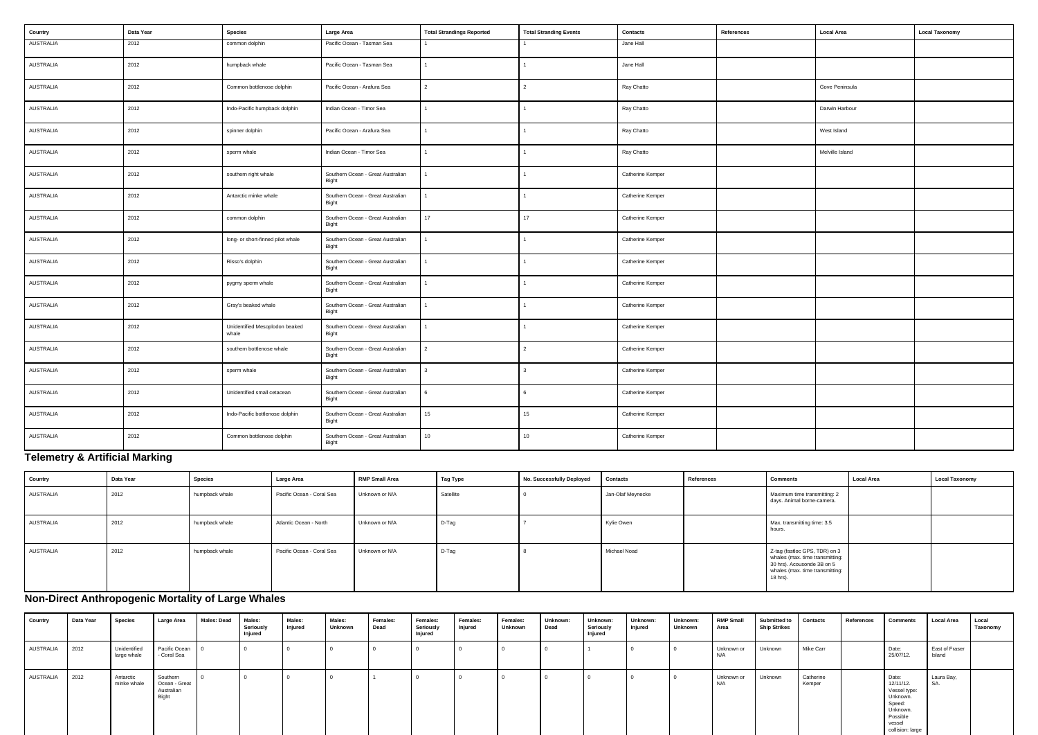| Country          | Data Year | <b>Species</b>                          | Large Area                                 | <b>Total Strandings Reported</b> | <b>Total Stranding Events</b> | Contacts         | References | <b>Local Area</b> | <b>Local Taxonomy</b> |
|------------------|-----------|-----------------------------------------|--------------------------------------------|----------------------------------|-------------------------------|------------------|------------|-------------------|-----------------------|
| <b>AUSTRALIA</b> | 2012      | common dolphin                          | Pacific Ocean - Tasman Sea                 |                                  |                               | Jane Hall        |            |                   |                       |
| AUSTRALIA        | 2012      | humpback whale                          | Pacific Ocean - Tasman Sea                 | $\mathbf{1}$                     |                               | Jane Hall        |            |                   |                       |
| AUSTRALIA        | 2012      | Common bottlenose dolphin               | Pacific Ocean - Arafura Sea                | $\overline{2}$                   | $\overline{2}$                | Ray Chatto       |            | Gove Peninsula    |                       |
| AUSTRALIA        | 2012      | Indo-Pacific humpback dolphin           | Indian Ocean - Timor Sea                   | $\overline{1}$                   |                               | Ray Chatto       |            | Darwin Harbour    |                       |
| AUSTRALIA        | 2012      | spinner dolphin                         | Pacific Ocean - Arafura Sea                | $\mathbf{1}$                     |                               | Ray Chatto       |            | West Island       |                       |
| AUSTRALIA        | 2012      | sperm whale                             | Indian Ocean - Timor Sea                   | $\mathbf{1}$                     |                               | Ray Chatto       |            | Melville Island   |                       |
| AUSTRALIA        | 2012      | southern right whale                    | Southern Ocean - Great Australian<br>Bight |                                  |                               | Catherine Kemper |            |                   |                       |
| AUSTRALIA        | 2012      | Antarctic minke whale                   | Southern Ocean - Great Australian<br>Bight | $\mathbf{1}$                     |                               | Catherine Kemper |            |                   |                       |
| AUSTRALIA        | 2012      | common dolphin                          | Southern Ocean - Great Australian<br>Bight | 17                               | 17                            | Catherine Kemper |            |                   |                       |
| AUSTRALIA        | 2012      | long- or short-finned pilot whale       | Southern Ocean - Great Australian<br>Bight | $\overline{1}$                   |                               | Catherine Kemper |            |                   |                       |
| AUSTRALIA        | 2012      | Risso's dolphin                         | Southern Ocean - Great Australian<br>Bight | $\mathbf{1}$                     |                               | Catherine Kemper |            |                   |                       |
| AUSTRALIA        | 2012      | pygmy sperm whale                       | Southern Ocean - Great Australian<br>Bight |                                  |                               | Catherine Kemper |            |                   |                       |
| AUSTRALIA        | 2012      | Gray's beaked whale                     | Southern Ocean - Great Australian<br>Bight | $\mathbf{1}$                     |                               | Catherine Kemper |            |                   |                       |
| AUSTRALIA        | 2012      | Unidentified Mesoplodon beaked<br>whale | Southern Ocean - Great Australian<br>Bight | $\overline{1}$                   |                               | Catherine Kemper |            |                   |                       |
| AUSTRALIA        | 2012      | southern bottlenose whale               | Southern Ocean - Great Australian<br>Bight | $\overline{2}$                   | $\overline{2}$                | Catherine Kemper |            |                   |                       |
| AUSTRALIA        | 2012      | sperm whale                             | Southern Ocean - Great Australian<br>Bight | $\mathbf{3}$                     | 3                             | Catherine Kemper |            |                   |                       |
| AUSTRALIA        | 2012      | Unidentified small cetacean             | Southern Ocean - Great Australian<br>Bight | 6                                | 6                             | Catherine Kemper |            |                   |                       |
| AUSTRALIA        | 2012      | Indo-Pacific bottlenose dolphin         | Southern Ocean - Great Australian<br>Bight | 15                               | 15                            | Catherine Kemper |            |                   |                       |
| AUSTRALIA        | 2012      | Common bottlenose dolphin               | Southern Ocean - Great Australian<br>Bight | 10                               | 10                            | Catherine Kemper |            |                   |                       |

# **Telemetry & Artificial Marking**

| Country   | Data Year | Species        | <b>Large Area</b>         | <b>RMP Small Area</b> | Tag Type  | No. Successfully Deployed | <b>Contacts</b>   | References | <b>Comments</b>                                                                                                                               | <b>Local Area</b> | <b>Local Taxonomy</b> |
|-----------|-----------|----------------|---------------------------|-----------------------|-----------|---------------------------|-------------------|------------|-----------------------------------------------------------------------------------------------------------------------------------------------|-------------------|-----------------------|
| AUSTRALIA | 2012      | humpback whale | Pacific Ocean - Coral Sea | Unknown or N/A        | Satellite |                           | Jan-Olaf Meynecke |            | Maximum time transmitting: 2<br>days. Animal borne-camera.                                                                                    |                   |                       |
| AUSTRALIA | 2012      | humpback whale | Atlantic Ocean - North    | Unknown or N/A        | D-Tag     |                           | Kylie Owen        |            | Max. transmitting time: 3.5<br>hours.                                                                                                         |                   |                       |
| AUSTRALIA | 2012      | humpback whale | Pacific Ocean - Coral Sea | Unknown or N/A        | D-Tag     |                           | Michael Noad      |            | Z-tag (fastloc GPS, TDR) on 3<br>whales (max. time transmitting:<br>30 hrs). Acousonde 3B on 5<br>whales (max. time transmitting:<br>18 hrs). |                   |                       |

| <b>Comments</b>                                                                                                                               | <b>Local Area</b> | <b>Local Taxonomy</b> |
|-----------------------------------------------------------------------------------------------------------------------------------------------|-------------------|-----------------------|
| Maximum time transmitting: 2<br>days. Animal borne-camera.                                                                                    |                   |                       |
| Max. transmitting time: 3.5<br>hours.                                                                                                         |                   |                       |
| Z-tag (fastloc GPS, TDR) on 3<br>whales (max. time transmitting:<br>30 hrs). Acousonde 3B on 5<br>whales (max. time transmitting:<br>18 hrs). |                   |                       |

# **Non-Direct Anthropogenic Mortality of Large Whales**

| Country   | Data Year | <b>Species</b>              | Large Area                                       | <b>Males: Dead</b> | Males:<br>Seriously<br>  Injured | Males:<br>Injured | Males:<br><b>Unknown</b> | Females:<br>Dead | Females:<br>Seriously<br>Injured | Females:<br>Injured | Females:<br>Unknown | Unknown:<br>Dead | Unknown:<br>Seriously<br>Injured | Unknown:<br>Injured | Unknown:<br>Unknown | <b>RMP Small</b><br>Area | <b>Submitted to</b><br><b>Ship Strikes</b> | <b>Contacts</b>     | References | <b>Comments</b>                                                                                                | Local Area               | Local<br>Taxonomy |
|-----------|-----------|-----------------------------|--------------------------------------------------|--------------------|----------------------------------|-------------------|--------------------------|------------------|----------------------------------|---------------------|---------------------|------------------|----------------------------------|---------------------|---------------------|--------------------------|--------------------------------------------|---------------------|------------|----------------------------------------------------------------------------------------------------------------|--------------------------|-------------------|
| AUSTRALIA |           | Unidentified<br>large whale | Pacific Ocean 0<br>- Coral Sea                   |                    |                                  |                   |                          |                  |                                  |                     |                     |                  |                                  |                     |                     | Unknown or<br>N/A        | Unknown                                    | Mike Carr           |            | Date:<br>25/07/12.                                                                                             | East of Fraser<br>Island |                   |
| AUSTRALIA | $2012$    | Antarctic<br>minke whale    | Southern<br>Ocean - Great<br>Australian<br>Bight |                    |                                  |                   |                          |                  |                                  |                     |                     |                  |                                  |                     |                     | Unknown or<br>N/A        | Unknown                                    | Catherine<br>Kemper |            | Date:<br>12/11/12.<br>Vessel type:<br>Unknown.<br>Speed:<br>Unknown.<br>Possible<br>vessel<br>collision: large | Laura Bay,<br>SA.        |                   |